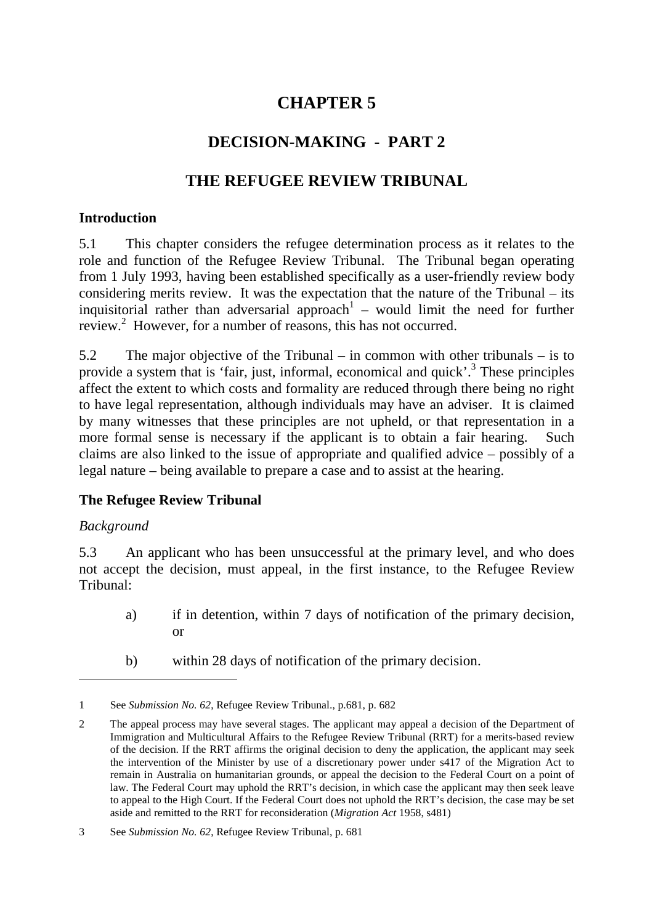# **CHAPTER 5**

# **DECISION-MAKING - PART 2**

# **THE REFUGEE REVIEW TRIBUNAL**

#### **Introduction**

5.1 This chapter considers the refugee determination process as it relates to the role and function of the Refugee Review Tribunal. The Tribunal began operating from 1 July 1993, having been established specifically as a user-friendly review body considering merits review. It was the expectation that the nature of the Tribunal – its inquisitorial rather than adversarial approach<sup>1</sup> – would limit the need for further review.<sup>2</sup> However, for a number of reasons, this has not occurred.

5.2 The major objective of the Tribunal – in common with other tribunals – is to provide a system that is 'fair, just, informal, economical and quick'.<sup>3</sup> These principles affect the extent to which costs and formality are reduced through there being no right to have legal representation, although individuals may have an adviser. It is claimed by many witnesses that these principles are not upheld, or that representation in a more formal sense is necessary if the applicant is to obtain a fair hearing. Such claims are also linked to the issue of appropriate and qualified advice – possibly of a legal nature – being available to prepare a case and to assist at the hearing.

## **The Refugee Review Tribunal**

#### *Background*

5.3 An applicant who has been unsuccessful at the primary level, and who does not accept the decision, must appeal, in the first instance, to the Refugee Review Tribunal:

- a) if in detention, within 7 days of notification of the primary decision, or
- b) within 28 days of notification of the primary decision.

<sup>1</sup> See *Submission No. 62*, Refugee Review Tribunal., p.681, p. 682

<sup>2</sup> The appeal process may have several stages. The applicant may appeal a decision of the Department of Immigration and Multicultural Affairs to the Refugee Review Tribunal (RRT) for a merits-based review of the decision. If the RRT affirms the original decision to deny the application, the applicant may seek the intervention of the Minister by use of a discretionary power under s417 of the Migration Act to remain in Australia on humanitarian grounds, or appeal the decision to the Federal Court on a point of law. The Federal Court may uphold the RRT's decision, in which case the applicant may then seek leave to appeal to the High Court. If the Federal Court does not uphold the RRT's decision, the case may be set aside and remitted to the RRT for reconsideration (*Migration Act* 1958, s481)

<sup>3</sup> See *Submission No. 62*, Refugee Review Tribunal, p. 681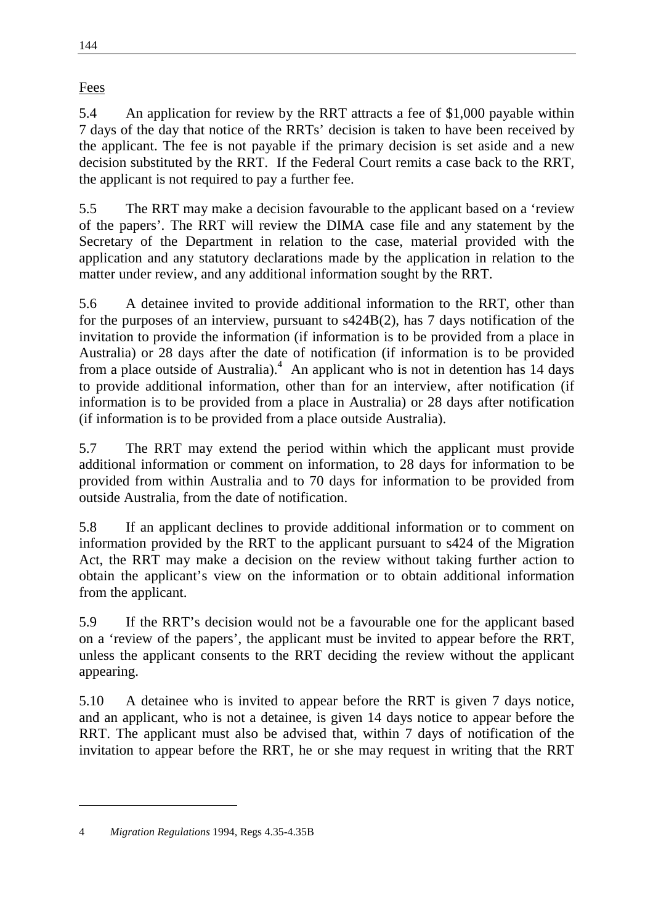Fees

144

5.4 An application for review by the RRT attracts a fee of \$1,000 payable within 7 days of the day that notice of the RRTs' decision is taken to have been received by the applicant. The fee is not payable if the primary decision is set aside and a new decision substituted by the RRT. If the Federal Court remits a case back to the RRT, the applicant is not required to pay a further fee.

5.5 The RRT may make a decision favourable to the applicant based on a 'review of the papers'. The RRT will review the DIMA case file and any statement by the Secretary of the Department in relation to the case, material provided with the application and any statutory declarations made by the application in relation to the matter under review, and any additional information sought by the RRT.

5.6 A detainee invited to provide additional information to the RRT, other than for the purposes of an interview, pursuant to s424B(2), has 7 days notification of the invitation to provide the information (if information is to be provided from a place in Australia) or 28 days after the date of notification (if information is to be provided from a place outside of Australia).<sup>4</sup> An applicant who is not in detention has 14 days to provide additional information, other than for an interview, after notification (if information is to be provided from a place in Australia) or 28 days after notification (if information is to be provided from a place outside Australia).

5.7 The RRT may extend the period within which the applicant must provide additional information or comment on information, to 28 days for information to be provided from within Australia and to 70 days for information to be provided from outside Australia, from the date of notification.

5.8 If an applicant declines to provide additional information or to comment on information provided by the RRT to the applicant pursuant to s424 of the Migration Act, the RRT may make a decision on the review without taking further action to obtain the applicant's view on the information or to obtain additional information from the applicant.

5.9 If the RRT's decision would not be a favourable one for the applicant based on a 'review of the papers', the applicant must be invited to appear before the RRT, unless the applicant consents to the RRT deciding the review without the applicant appearing.

5.10 A detainee who is invited to appear before the RRT is given 7 days notice, and an applicant, who is not a detainee, is given 14 days notice to appear before the RRT. The applicant must also be advised that, within 7 days of notification of the invitation to appear before the RRT, he or she may request in writing that the RRT

<sup>4</sup> *Migration Regulations* 1994, Regs 4.35-4.35B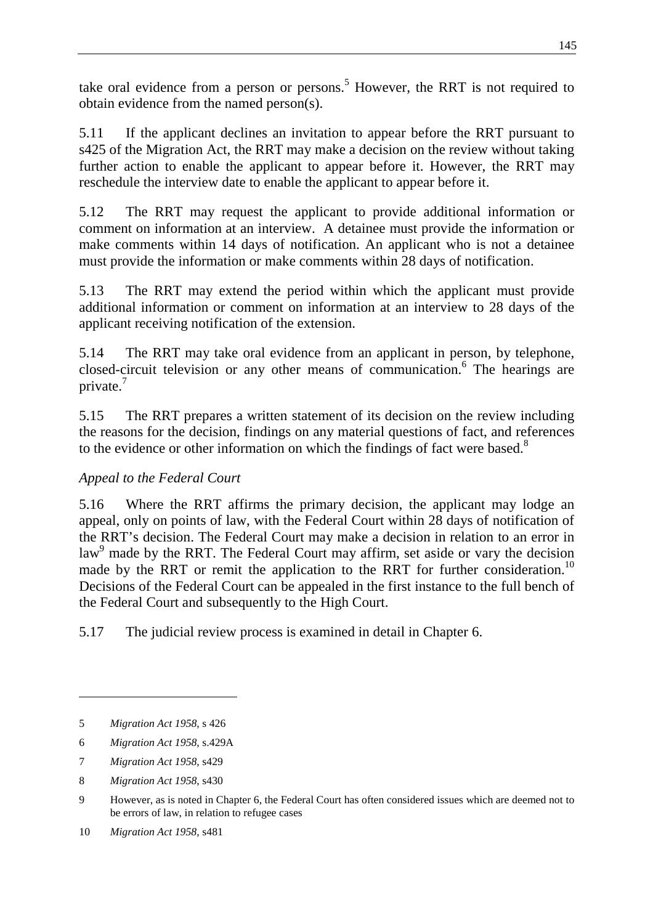take oral evidence from a person or persons.<sup>5</sup> However, the RRT is not required to obtain evidence from the named person(s).

5.11 If the applicant declines an invitation to appear before the RRT pursuant to s425 of the Migration Act, the RRT may make a decision on the review without taking further action to enable the applicant to appear before it. However, the RRT may reschedule the interview date to enable the applicant to appear before it.

5.12 The RRT may request the applicant to provide additional information or comment on information at an interview. A detainee must provide the information or make comments within 14 days of notification. An applicant who is not a detainee must provide the information or make comments within 28 days of notification.

5.13 The RRT may extend the period within which the applicant must provide additional information or comment on information at an interview to 28 days of the applicant receiving notification of the extension.

5.14 The RRT may take oral evidence from an applicant in person, by telephone, closed-circuit television or any other means of communication.<sup>6</sup> The hearings are private.

5.15 The RRT prepares a written statement of its decision on the review including the reasons for the decision, findings on any material questions of fact, and references to the evidence or other information on which the findings of fact were based.<sup>8</sup>

# *Appeal to the Federal Court*

5.16 Where the RRT affirms the primary decision, the applicant may lodge an appeal, only on points of law, with the Federal Court within 28 days of notification of the RRT's decision. The Federal Court may make a decision in relation to an error in law<sup>9</sup> made by the RRT. The Federal Court may affirm, set aside or vary the decision made by the RRT or remit the application to the RRT for further consideration.<sup>10</sup> Decisions of the Federal Court can be appealed in the first instance to the full bench of the Federal Court and subsequently to the High Court.

5.17 The judicial review process is examined in detail in Chapter 6.

<sup>5</sup> *Migration Act 1958*, s 426

<sup>6</sup> *Migration Act 1958*, s.429A

<sup>7</sup> *Migration Act 1958*, s429

<sup>8</sup> *Migration Act 1958*, s430

<sup>9</sup> However, as is noted in Chapter 6, the Federal Court has often considered issues which are deemed not to be errors of law, in relation to refugee cases

<sup>10</sup> *Migration Act 1958*, s481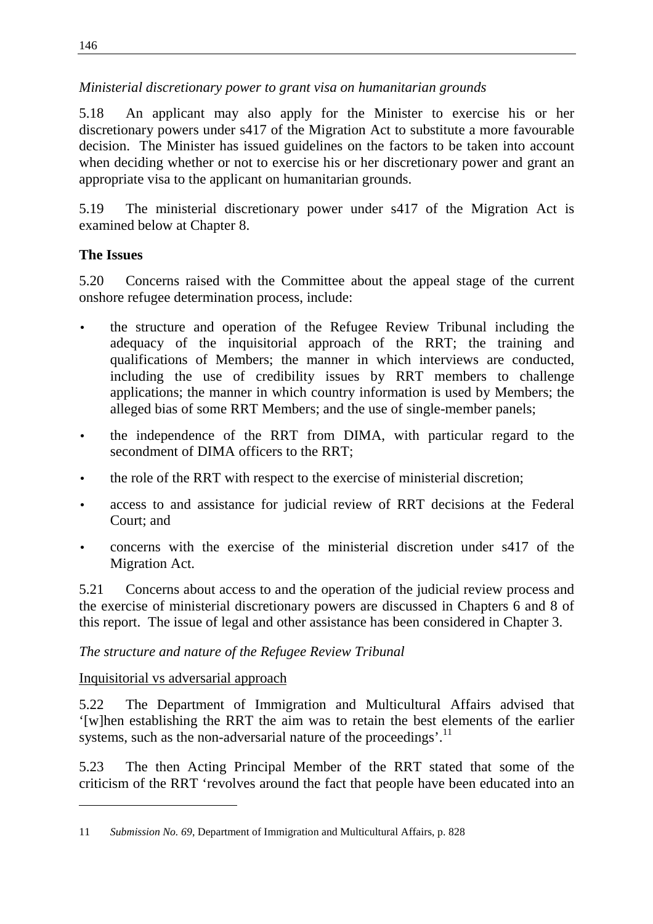# *Ministerial discretionary power to grant visa on humanitarian grounds*

5.18 An applicant may also apply for the Minister to exercise his or her discretionary powers under s417 of the Migration Act to substitute a more favourable decision. The Minister has issued guidelines on the factors to be taken into account when deciding whether or not to exercise his or her discretionary power and grant an appropriate visa to the applicant on humanitarian grounds.

5.19 The ministerial discretionary power under s417 of the Migration Act is examined below at Chapter 8.

# **The Issues**

5.20 Concerns raised with the Committee about the appeal stage of the current onshore refugee determination process, include:

- the structure and operation of the Refugee Review Tribunal including the adequacy of the inquisitorial approach of the RRT; the training and qualifications of Members; the manner in which interviews are conducted, including the use of credibility issues by RRT members to challenge applications; the manner in which country information is used by Members; the alleged bias of some RRT Members; and the use of single-member panels;
- the independence of the RRT from DIMA, with particular regard to the secondment of DIMA officers to the RRT;
- the role of the RRT with respect to the exercise of ministerial discretion;
- access to and assistance for judicial review of RRT decisions at the Federal Court; and
- concerns with the exercise of the ministerial discretion under s417 of the Migration Act.

5.21 Concerns about access to and the operation of the judicial review process and the exercise of ministerial discretionary powers are discussed in Chapters 6 and 8 of this report. The issue of legal and other assistance has been considered in Chapter 3.

# *The structure and nature of the Refugee Review Tribunal*

# Inquisitorial vs adversarial approach

5.22 The Department of Immigration and Multicultural Affairs advised that '[w]hen establishing the RRT the aim was to retain the best elements of the earlier systems, such as the non-adversarial nature of the proceedings'.<sup>11</sup>

5.23 The then Acting Principal Member of the RRT stated that some of the criticism of the RRT 'revolves around the fact that people have been educated into an

<sup>11</sup> *Submission No. 69*, Department of Immigration and Multicultural Affairs, p. 828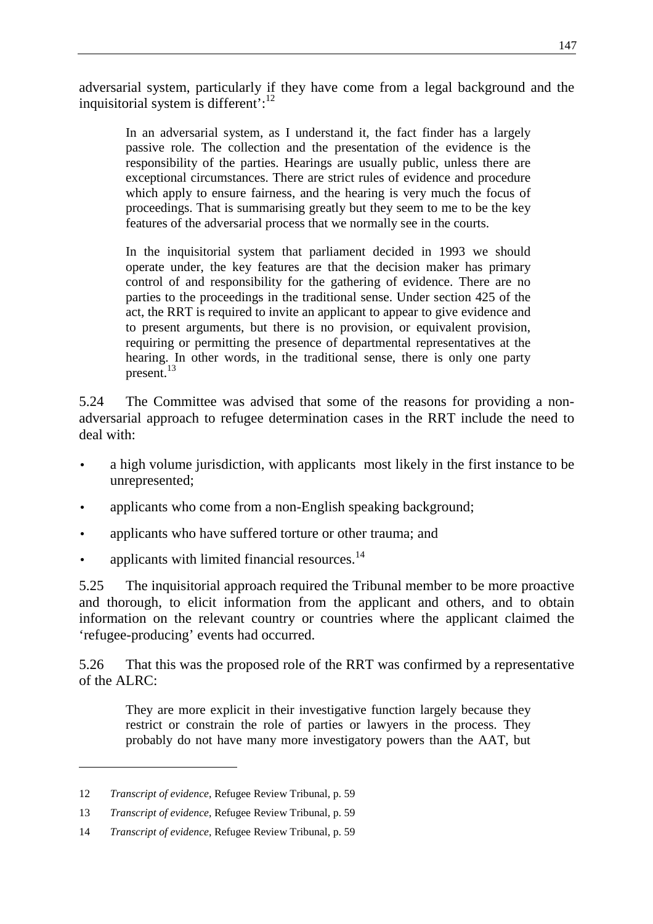adversarial system, particularly if they have come from a legal background and the inquisitorial system is different': $12$ 

In an adversarial system, as I understand it, the fact finder has a largely passive role. The collection and the presentation of the evidence is the responsibility of the parties. Hearings are usually public, unless there are exceptional circumstances. There are strict rules of evidence and procedure which apply to ensure fairness, and the hearing is very much the focus of proceedings. That is summarising greatly but they seem to me to be the key features of the adversarial process that we normally see in the courts.

In the inquisitorial system that parliament decided in 1993 we should operate under, the key features are that the decision maker has primary control of and responsibility for the gathering of evidence. There are no parties to the proceedings in the traditional sense. Under section 425 of the act, the RRT is required to invite an applicant to appear to give evidence and to present arguments, but there is no provision, or equivalent provision, requiring or permitting the presence of departmental representatives at the hearing. In other words, in the traditional sense, there is only one party present.<sup>13</sup>

5.24 The Committee was advised that some of the reasons for providing a nonadversarial approach to refugee determination cases in the RRT include the need to deal with:

- a high volume jurisdiction, with applicants most likely in the first instance to be unrepresented;
- applicants who come from a non-English speaking background;
- applicants who have suffered torture or other trauma; and
- applicants with limited financial resources.<sup>14</sup>

5.25 The inquisitorial approach required the Tribunal member to be more proactive and thorough, to elicit information from the applicant and others, and to obtain information on the relevant country or countries where the applicant claimed the 'refugee-producing' events had occurred.

5.26 That this was the proposed role of the RRT was confirmed by a representative of the ALRC:

They are more explicit in their investigative function largely because they restrict or constrain the role of parties or lawyers in the process. They probably do not have many more investigatory powers than the AAT, but

<sup>12</sup> *Transcript of evidence*, Refugee Review Tribunal, p. 59

<sup>13</sup> *Transcript of evidence*, Refugee Review Tribunal, p. 59

<sup>14</sup> *Transcript of evidence*, Refugee Review Tribunal, p. 59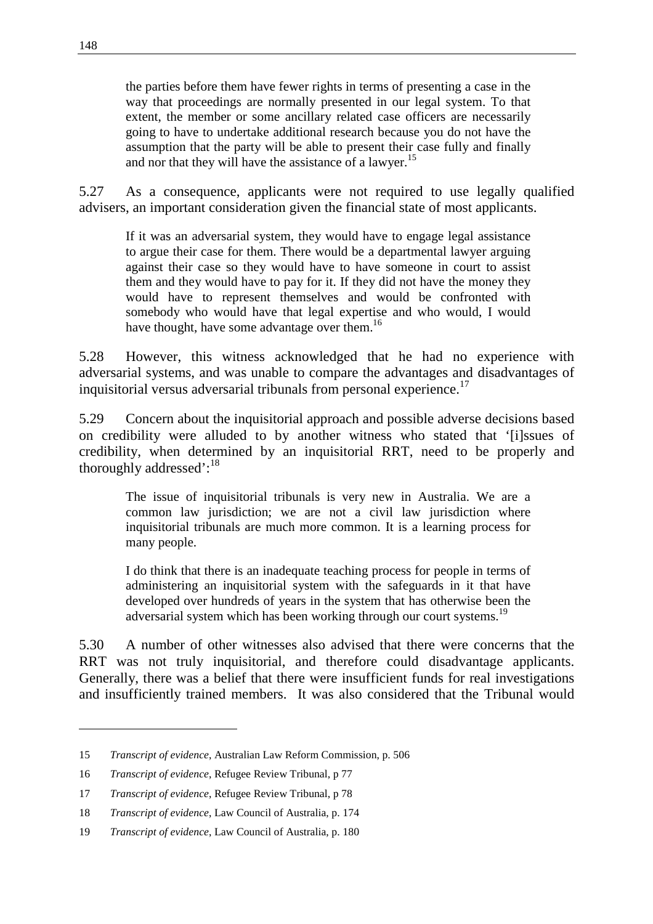the parties before them have fewer rights in terms of presenting a case in the way that proceedings are normally presented in our legal system. To that extent, the member or some ancillary related case officers are necessarily going to have to undertake additional research because you do not have the assumption that the party will be able to present their case fully and finally and nor that they will have the assistance of a lawyer.<sup>15</sup>

5.27 As a consequence, applicants were not required to use legally qualified advisers, an important consideration given the financial state of most applicants.

If it was an adversarial system, they would have to engage legal assistance to argue their case for them. There would be a departmental lawyer arguing against their case so they would have to have someone in court to assist them and they would have to pay for it. If they did not have the money they would have to represent themselves and would be confronted with somebody who would have that legal expertise and who would, I would have thought, have some advantage over them.<sup>16</sup>

5.28 However, this witness acknowledged that he had no experience with adversarial systems, and was unable to compare the advantages and disadvantages of inquisitorial versus adversarial tribunals from personal experience.<sup>17</sup>

5.29 Concern about the inquisitorial approach and possible adverse decisions based on credibility were alluded to by another witness who stated that '[i]ssues of credibility, when determined by an inquisitorial RRT, need to be properly and thoroughly addressed':<sup>18</sup>

The issue of inquisitorial tribunals is very new in Australia. We are a common law jurisdiction; we are not a civil law jurisdiction where inquisitorial tribunals are much more common. It is a learning process for many people.

I do think that there is an inadequate teaching process for people in terms of administering an inquisitorial system with the safeguards in it that have developed over hundreds of years in the system that has otherwise been the adversarial system which has been working through our court systems.<sup>19</sup>

5.30 A number of other witnesses also advised that there were concerns that the RRT was not truly inquisitorial, and therefore could disadvantage applicants. Generally, there was a belief that there were insufficient funds for real investigations and insufficiently trained members. It was also considered that the Tribunal would

<sup>15</sup> *Transcript of evidence*, Australian Law Reform Commission, p. 506

<sup>16</sup> *Transcript of evidence*, Refugee Review Tribunal, p 77

<sup>17</sup> *Transcript of evidence*, Refugee Review Tribunal, p 78

<sup>18</sup> *Transcript of evidence*, Law Council of Australia, p. 174

<sup>19</sup> *Transcript of evidence*, Law Council of Australia, p. 180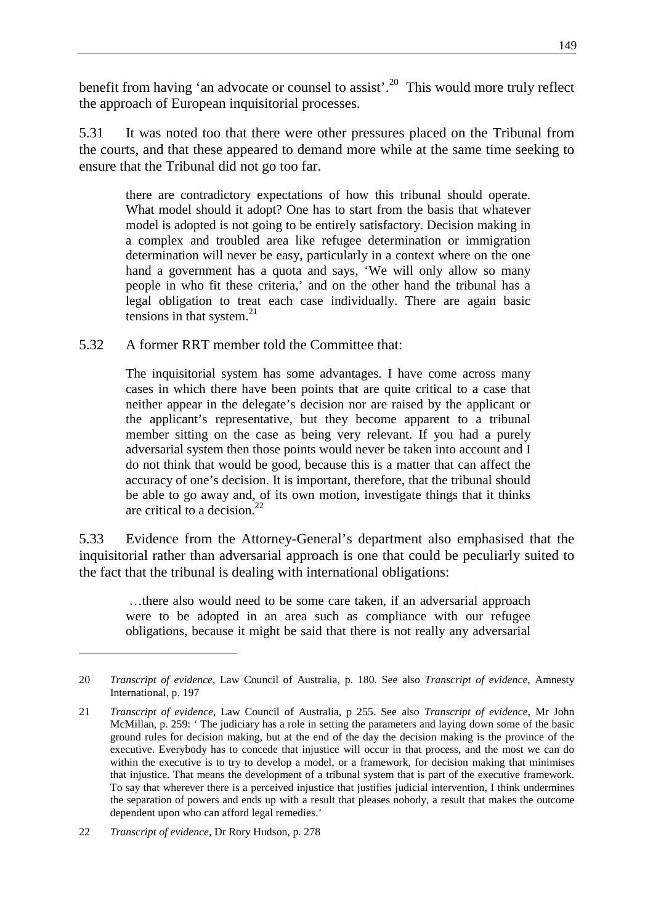benefit from having 'an advocate or counsel to assist'.<sup>20</sup> This would more truly reflect the approach of European inquisitorial processes.

5.31 It was noted too that there were other pressures placed on the Tribunal from the courts, and that these appeared to demand more while at the same time seeking to ensure that the Tribunal did not go too far.

there are contradictory expectations of how this tribunal should operate. What model should it adopt? One has to start from the basis that whatever model is adopted is not going to be entirely satisfactory. Decision making in a complex and troubled area like refugee determination or immigration determination will never be easy, particularly in a context where on the one hand a government has a quota and says, 'We will only allow so many people in who fit these criteria,' and on the other hand the tribunal has a legal obligation to treat each case individually. There are again basic tensions in that system. $21$ 

5.32 A former RRT member told the Committee that:

The inquisitorial system has some advantages. I have come across many cases in which there have been points that are quite critical to a case that neither appear in the delegate's decision nor are raised by the applicant or the applicant's representative, but they become apparent to a tribunal member sitting on the case as being very relevant. If you had a purely adversarial system then those points would never be taken into account and I do not think that would be good, because this is a matter that can affect the accuracy of one's decision. It is important, therefore, that the tribunal should be able to go away and, of its own motion, investigate things that it thinks are critical to a decision.<sup>22</sup>

5.33 Evidence from the Attorney-General's department also emphasised that the inquisitorial rather than adversarial approach is one that could be peculiarly suited to the fact that the tribunal is dealing with international obligations:

 …there also would need to be some care taken, if an adversarial approach were to be adopted in an area such as compliance with our refugee obligations, because it might be said that there is not really any adversarial

<sup>20</sup> *Transcript of evidence*, Law Council of Australia, p. 180. See also *Transcript of evidence*, Amnesty International, p. 197

<sup>21</sup> *Transcript of evidence*, Law Council of Australia, p 255. See also *Transcript of evidence*, Mr John McMillan, p. 259: ' The judiciary has a role in setting the parameters and laying down some of the basic ground rules for decision making, but at the end of the day the decision making is the province of the executive. Everybody has to concede that injustice will occur in that process, and the most we can do within the executive is to try to develop a model, or a framework, for decision making that minimises that injustice. That means the development of a tribunal system that is part of the executive framework. To say that wherever there is a perceived injustice that justifies judicial intervention, I think undermines the separation of powers and ends up with a result that pleases nobody, a result that makes the outcome dependent upon who can afford legal remedies.'

<sup>22</sup> *Transcript of evidence*, Dr Rory Hudson, p. 278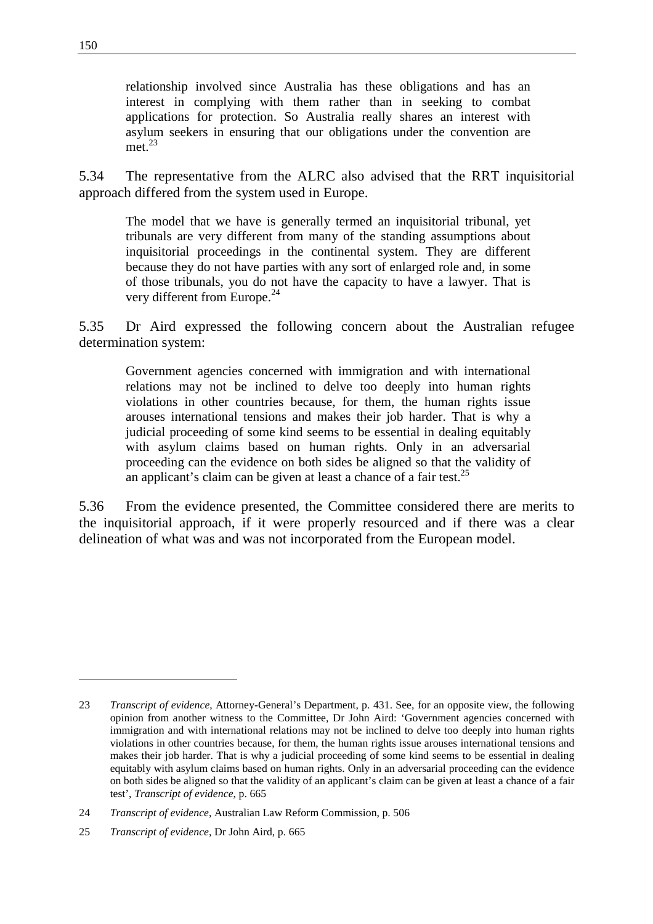relationship involved since Australia has these obligations and has an interest in complying with them rather than in seeking to combat applications for protection. So Australia really shares an interest with asylum seekers in ensuring that our obligations under the convention are met<sup>23</sup>

5.34 The representative from the ALRC also advised that the RRT inquisitorial approach differed from the system used in Europe.

The model that we have is generally termed an inquisitorial tribunal, yet tribunals are very different from many of the standing assumptions about inquisitorial proceedings in the continental system. They are different because they do not have parties with any sort of enlarged role and, in some of those tribunals, you do not have the capacity to have a lawyer. That is very different from Europe.<sup>24</sup>

5.35 Dr Aird expressed the following concern about the Australian refugee determination system:

Government agencies concerned with immigration and with international relations may not be inclined to delve too deeply into human rights violations in other countries because, for them, the human rights issue arouses international tensions and makes their job harder. That is why a judicial proceeding of some kind seems to be essential in dealing equitably with asylum claims based on human rights. Only in an adversarial proceeding can the evidence on both sides be aligned so that the validity of an applicant's claim can be given at least a chance of a fair test.<sup>25</sup>

5.36 From the evidence presented, the Committee considered there are merits to the inquisitorial approach, if it were properly resourced and if there was a clear delineation of what was and was not incorporated from the European model.

<sup>23</sup> *Transcript of evidence*, Attorney-General's Department, p. 431. See, for an opposite view, the following opinion from another witness to the Committee, Dr John Aird: 'Government agencies concerned with immigration and with international relations may not be inclined to delve too deeply into human rights violations in other countries because, for them, the human rights issue arouses international tensions and makes their job harder. That is why a judicial proceeding of some kind seems to be essential in dealing equitably with asylum claims based on human rights. Only in an adversarial proceeding can the evidence on both sides be aligned so that the validity of an applicant's claim can be given at least a chance of a fair test', *Transcript of evidence*, p. 665

<sup>24</sup> *Transcript of evidence*, Australian Law Reform Commission, p. 506

<sup>25</sup> *Transcript of evidence*, Dr John Aird, p. 665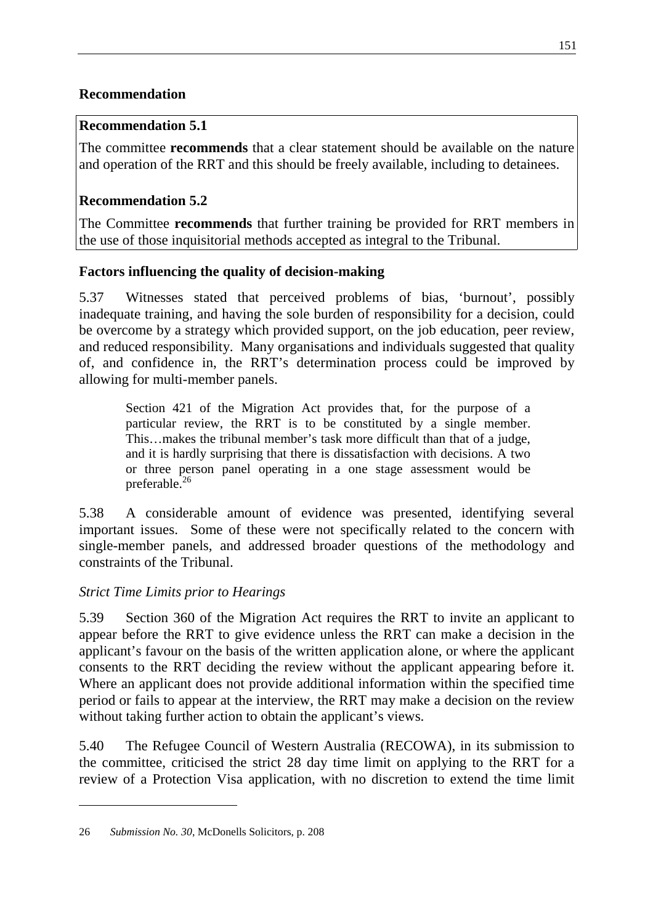## **Recommendation**

## **Recommendation 5.1**

The committee **recommends** that a clear statement should be available on the nature and operation of the RRT and this should be freely available, including to detainees.

# **Recommendation 5.2**

The Committee **recommends** that further training be provided for RRT members in the use of those inquisitorial methods accepted as integral to the Tribunal.

# **Factors influencing the quality of decision-making**

5.37 Witnesses stated that perceived problems of bias, 'burnout', possibly inadequate training, and having the sole burden of responsibility for a decision, could be overcome by a strategy which provided support, on the job education, peer review, and reduced responsibility. Many organisations and individuals suggested that quality of, and confidence in, the RRT's determination process could be improved by allowing for multi-member panels.

Section 421 of the Migration Act provides that, for the purpose of a particular review, the RRT is to be constituted by a single member. This…makes the tribunal member's task more difficult than that of a judge, and it is hardly surprising that there is dissatisfaction with decisions. A two or three person panel operating in a one stage assessment would be preferable.<sup>26</sup>

5.38 A considerable amount of evidence was presented, identifying several important issues. Some of these were not specifically related to the concern with single-member panels, and addressed broader questions of the methodology and constraints of the Tribunal.

# *Strict Time Limits prior to Hearings*

5.39 Section 360 of the Migration Act requires the RRT to invite an applicant to appear before the RRT to give evidence unless the RRT can make a decision in the applicant's favour on the basis of the written application alone, or where the applicant consents to the RRT deciding the review without the applicant appearing before it. Where an applicant does not provide additional information within the specified time period or fails to appear at the interview, the RRT may make a decision on the review without taking further action to obtain the applicant's views.

5.40 The Refugee Council of Western Australia (RECOWA), in its submission to the committee, criticised the strict 28 day time limit on applying to the RRT for a review of a Protection Visa application, with no discretion to extend the time limit

<sup>26</sup> *Submission No. 30*, McDonells Solicitors, p. 208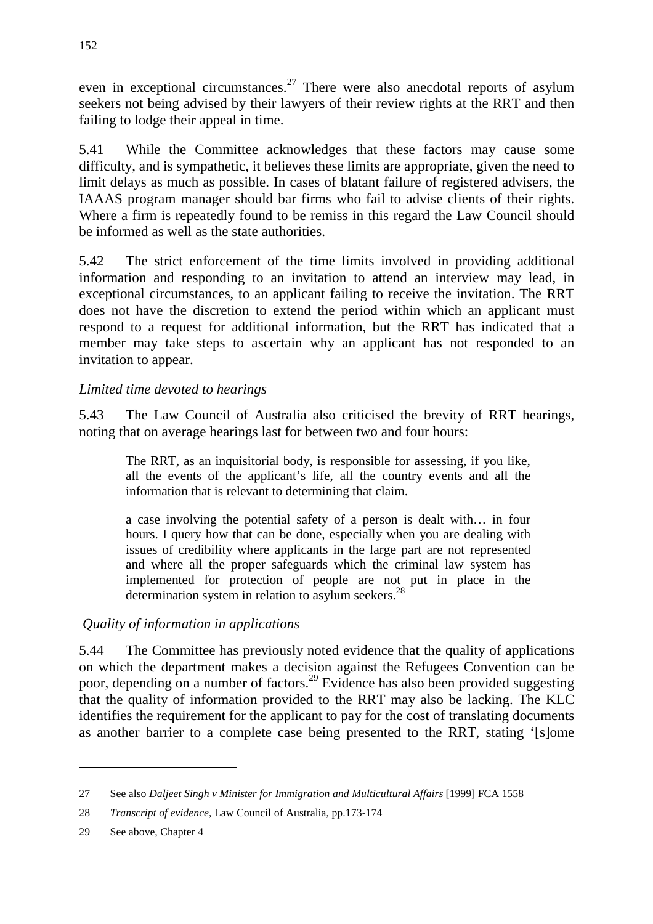even in exceptional circumstances.<sup>27</sup> There were also anecdotal reports of asylum seekers not being advised by their lawyers of their review rights at the RRT and then failing to lodge their appeal in time.

5.41 While the Committee acknowledges that these factors may cause some difficulty, and is sympathetic, it believes these limits are appropriate, given the need to limit delays as much as possible. In cases of blatant failure of registered advisers, the IAAAS program manager should bar firms who fail to advise clients of their rights. Where a firm is repeatedly found to be remiss in this regard the Law Council should be informed as well as the state authorities.

5.42 The strict enforcement of the time limits involved in providing additional information and responding to an invitation to attend an interview may lead, in exceptional circumstances, to an applicant failing to receive the invitation. The RRT does not have the discretion to extend the period within which an applicant must respond to a request for additional information, but the RRT has indicated that a member may take steps to ascertain why an applicant has not responded to an invitation to appear.

## *Limited time devoted to hearings*

5.43 The Law Council of Australia also criticised the brevity of RRT hearings, noting that on average hearings last for between two and four hours:

The RRT, as an inquisitorial body, is responsible for assessing, if you like, all the events of the applicant's life, all the country events and all the information that is relevant to determining that claim.

a case involving the potential safety of a person is dealt with… in four hours. I query how that can be done, especially when you are dealing with issues of credibility where applicants in the large part are not represented and where all the proper safeguards which the criminal law system has implemented for protection of people are not put in place in the determination system in relation to asylum seekers.<sup>28</sup>

# *Quality of information in applications*

5.44 The Committee has previously noted evidence that the quality of applications on which the department makes a decision against the Refugees Convention can be poor, depending on a number of factors.<sup>29</sup> Evidence has also been provided suggesting that the quality of information provided to the RRT may also be lacking. The KLC identifies the requirement for the applicant to pay for the cost of translating documents as another barrier to a complete case being presented to the RRT, stating '[s]ome

<sup>27</sup> See also *Daljeet Singh v Minister for Immigration and Multicultural Affairs* [1999] FCA 1558

<sup>28</sup> *Transcript of evidence*, Law Council of Australia, pp.173-174

<sup>29</sup> See above, Chapter 4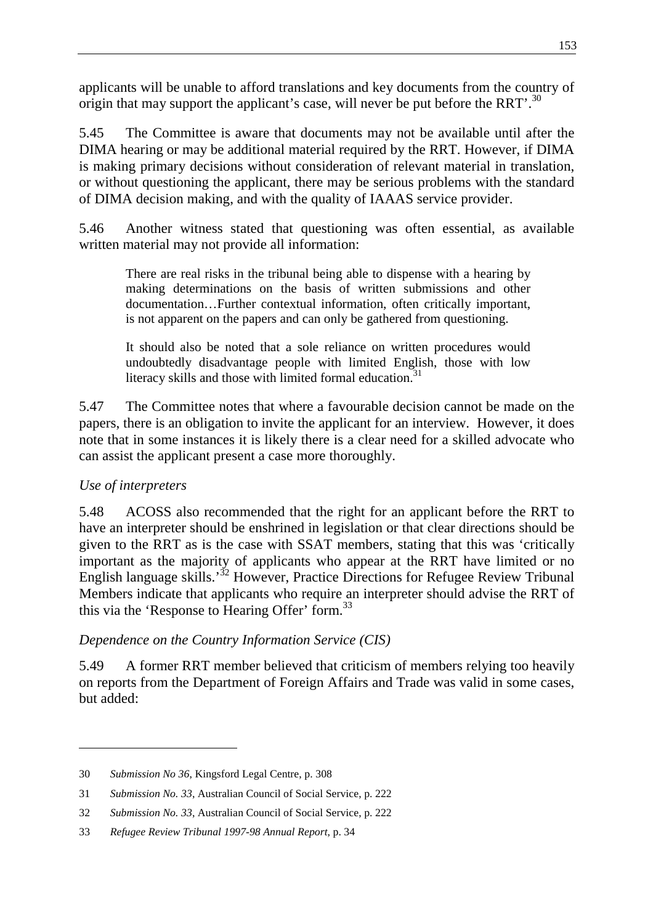applicants will be unable to afford translations and key documents from the country of origin that may support the applicant's case, will never be put before the RRT'.<sup>30</sup>

5.45 The Committee is aware that documents may not be available until after the DIMA hearing or may be additional material required by the RRT. However, if DIMA is making primary decisions without consideration of relevant material in translation, or without questioning the applicant, there may be serious problems with the standard of DIMA decision making, and with the quality of IAAAS service provider.

5.46 Another witness stated that questioning was often essential, as available written material may not provide all information:

There are real risks in the tribunal being able to dispense with a hearing by making determinations on the basis of written submissions and other documentation…Further contextual information, often critically important, is not apparent on the papers and can only be gathered from questioning.

It should also be noted that a sole reliance on written procedures would undoubtedly disadvantage people with limited English, those with low literacy skills and those with limited formal education.<sup>31</sup>

5.47 The Committee notes that where a favourable decision cannot be made on the papers, there is an obligation to invite the applicant for an interview. However, it does note that in some instances it is likely there is a clear need for a skilled advocate who can assist the applicant present a case more thoroughly.

# *Use of interpreters*

5.48 ACOSS also recommended that the right for an applicant before the RRT to have an interpreter should be enshrined in legislation or that clear directions should be given to the RRT as is the case with SSAT members, stating that this was 'critically important as the majority of applicants who appear at the RRT have limited or no English language skills.<sup>32</sup> However, Practice Directions for Refugee Review Tribunal Members indicate that applicants who require an interpreter should advise the RRT of this via the 'Response to Hearing Offer' form.<sup>33</sup>

# *Dependence on the Country Information Service (CIS)*

5.49 A former RRT member believed that criticism of members relying too heavily on reports from the Department of Foreign Affairs and Trade was valid in some cases, but added:

<sup>30</sup> *Submission No 36*, Kingsford Legal Centre, p. 308

<sup>31</sup> *Submission No. 33*, Australian Council of Social Service, p. 222

<sup>32</sup> *Submission No. 33*, Australian Council of Social Service, p. 222

<sup>33</sup> *Refugee Review Tribunal 1997-98 Annual Report*, p. 34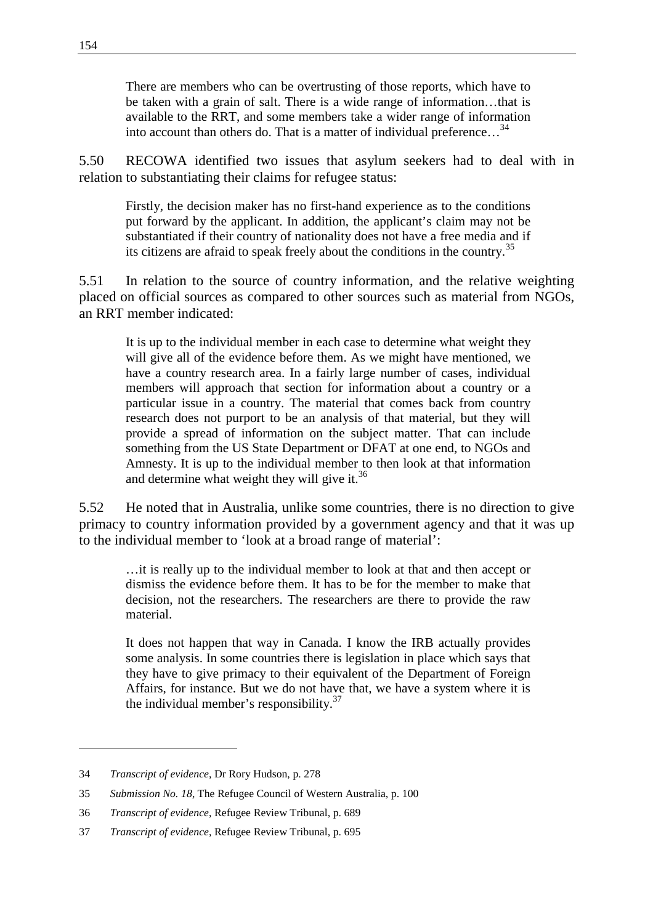There are members who can be overtrusting of those reports, which have to be taken with a grain of salt. There is a wide range of information…that is available to the RRT, and some members take a wider range of information into account than others do. That is a matter of individual preference…<sup>34</sup>

5.50 RECOWA identified two issues that asylum seekers had to deal with in relation to substantiating their claims for refugee status:

Firstly, the decision maker has no first-hand experience as to the conditions put forward by the applicant. In addition, the applicant's claim may not be substantiated if their country of nationality does not have a free media and if its citizens are afraid to speak freely about the conditions in the country.<sup>35</sup>

5.51 In relation to the source of country information, and the relative weighting placed on official sources as compared to other sources such as material from NGOs, an RRT member indicated:

It is up to the individual member in each case to determine what weight they will give all of the evidence before them. As we might have mentioned, we have a country research area. In a fairly large number of cases, individual members will approach that section for information about a country or a particular issue in a country. The material that comes back from country research does not purport to be an analysis of that material, but they will provide a spread of information on the subject matter. That can include something from the US State Department or DFAT at one end, to NGOs and Amnesty. It is up to the individual member to then look at that information and determine what weight they will give it. $36$ 

5.52 He noted that in Australia, unlike some countries, there is no direction to give primacy to country information provided by a government agency and that it was up to the individual member to 'look at a broad range of material':

…it is really up to the individual member to look at that and then accept or dismiss the evidence before them. It has to be for the member to make that decision, not the researchers. The researchers are there to provide the raw material.

It does not happen that way in Canada. I know the IRB actually provides some analysis. In some countries there is legislation in place which says that they have to give primacy to their equivalent of the Department of Foreign Affairs, for instance. But we do not have that, we have a system where it is the individual member's responsibility. $37$ 

<sup>34</sup> *Transcript of evidence*, Dr Rory Hudson, p. 278

<sup>35</sup> *Submission No. 18*, The Refugee Council of Western Australia, p. 100

<sup>36</sup> *Transcript of evidence*, Refugee Review Tribunal, p. 689

<sup>37</sup> *Transcript of evidence*, Refugee Review Tribunal, p. 695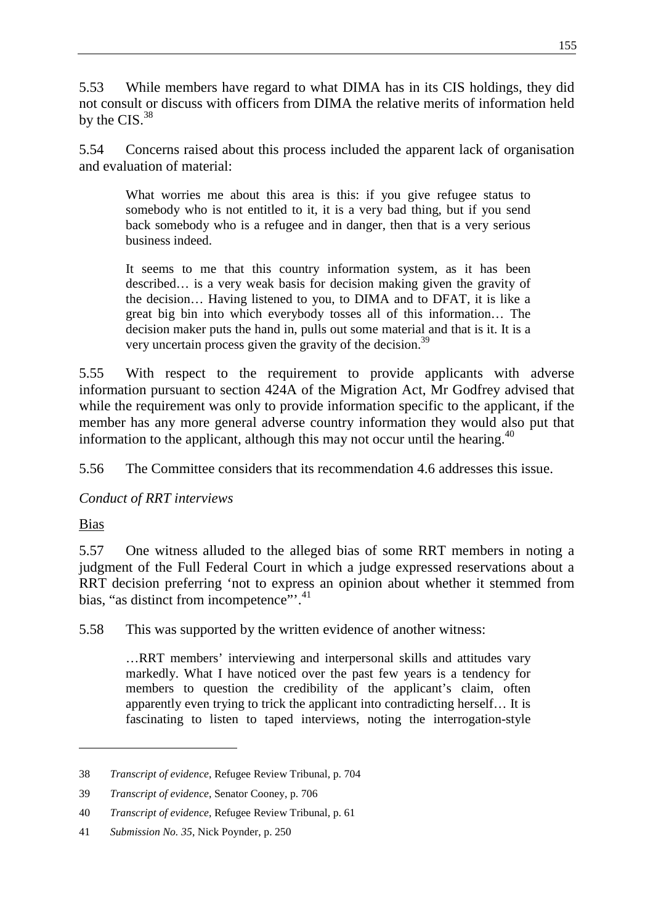5.53 While members have regard to what DIMA has in its CIS holdings, they did not consult or discuss with officers from DIMA the relative merits of information held by the CIS.<sup>38</sup>

5.54 Concerns raised about this process included the apparent lack of organisation and evaluation of material:

What worries me about this area is this: if you give refugee status to somebody who is not entitled to it, it is a very bad thing, but if you send back somebody who is a refugee and in danger, then that is a very serious business indeed.

It seems to me that this country information system, as it has been described… is a very weak basis for decision making given the gravity of the decision… Having listened to you, to DIMA and to DFAT, it is like a great big bin into which everybody tosses all of this information… The decision maker puts the hand in, pulls out some material and that is it. It is a very uncertain process given the gravity of the decision.39

5.55 With respect to the requirement to provide applicants with adverse information pursuant to section 424A of the Migration Act, Mr Godfrey advised that while the requirement was only to provide information specific to the applicant, if the member has any more general adverse country information they would also put that information to the applicant, although this may not occur until the hearing.<sup>40</sup>

5.56 The Committee considers that its recommendation 4.6 addresses this issue.

# *Conduct of RRT interviews*

Bias

5.57 One witness alluded to the alleged bias of some RRT members in noting a judgment of the Full Federal Court in which a judge expressed reservations about a RRT decision preferring 'not to express an opinion about whether it stemmed from bias, "as distinct from incompetence".<sup>41</sup>

5.58 This was supported by the written evidence of another witness:

…RRT members' interviewing and interpersonal skills and attitudes vary markedly. What I have noticed over the past few years is a tendency for members to question the credibility of the applicant's claim, often apparently even trying to trick the applicant into contradicting herself… It is fascinating to listen to taped interviews, noting the interrogation-style

<sup>38</sup> *Transcript of evidence*, Refugee Review Tribunal, p. 704

<sup>39</sup> *Transcript of evidence*, Senator Cooney, p. 706

<sup>40</sup> *Transcript of evidence*, Refugee Review Tribunal, p. 61

<sup>41</sup> *Submission No. 35*, Nick Poynder, p. 250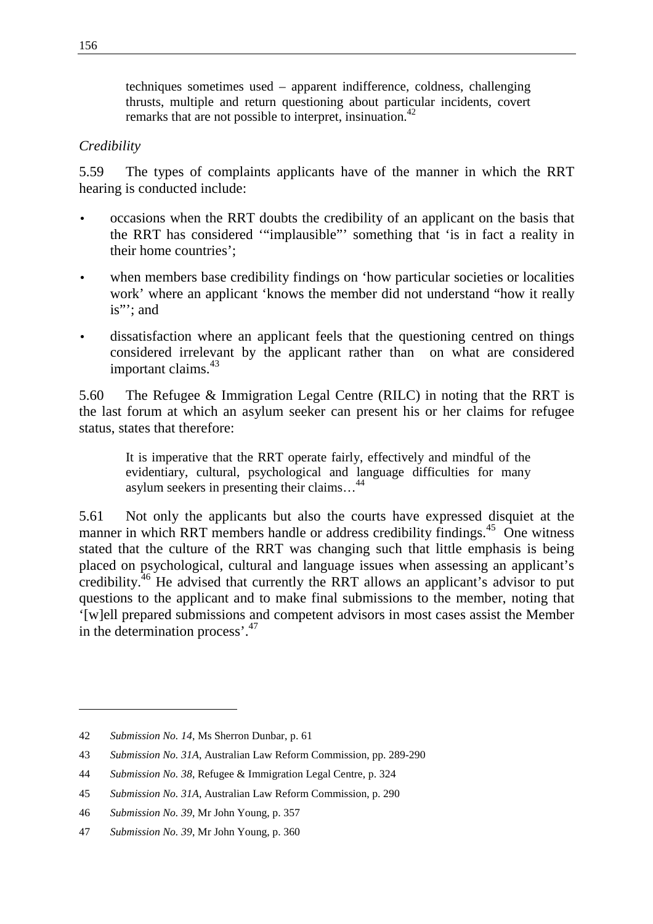techniques sometimes used – apparent indifference, coldness, challenging thrusts, multiple and return questioning about particular incidents, covert remarks that are not possible to interpret, insinuation.<sup>42</sup>

#### *Credibility*

5.59 The types of complaints applicants have of the manner in which the RRT hearing is conducted include:

- occasions when the RRT doubts the credibility of an applicant on the basis that the RRT has considered '"implausible"' something that 'is in fact a reality in their home countries';
- when members base credibility findings on 'how particular societies or localities work' where an applicant 'knows the member did not understand "how it really is"'; and
- dissatisfaction where an applicant feels that the questioning centred on things considered irrelevant by the applicant rather than on what are considered important claims.<sup>43</sup>

5.60 The Refugee & Immigration Legal Centre (RILC) in noting that the RRT is the last forum at which an asylum seeker can present his or her claims for refugee status, states that therefore:

It is imperative that the RRT operate fairly, effectively and mindful of the evidentiary, cultural, psychological and language difficulties for many asylum seekers in presenting their claims…<sup>44</sup>

5.61 Not only the applicants but also the courts have expressed disquiet at the manner in which RRT members handle or address credibility findings.<sup>45</sup> One witness stated that the culture of the RRT was changing such that little emphasis is being placed on psychological, cultural and language issues when assessing an applicant's credibility.46 He advised that currently the RRT allows an applicant's advisor to put questions to the applicant and to make final submissions to the member, noting that '[w]ell prepared submissions and competent advisors in most cases assist the Member in the determination process'.<sup>47</sup>

<sup>42</sup> *Submission No. 14*, Ms Sherron Dunbar, p. 61

<sup>43</sup> *Submission No. 31A*, Australian Law Reform Commission, pp. 289-290

<sup>44</sup> *Submission No. 38*, Refugee & Immigration Legal Centre, p. 324

<sup>45</sup> *Submission No. 31A*, Australian Law Reform Commission, p. 290

<sup>46</sup> *Submission No. 39*, Mr John Young, p. 357

<sup>47</sup> *Submission No. 39*, Mr John Young, p. 360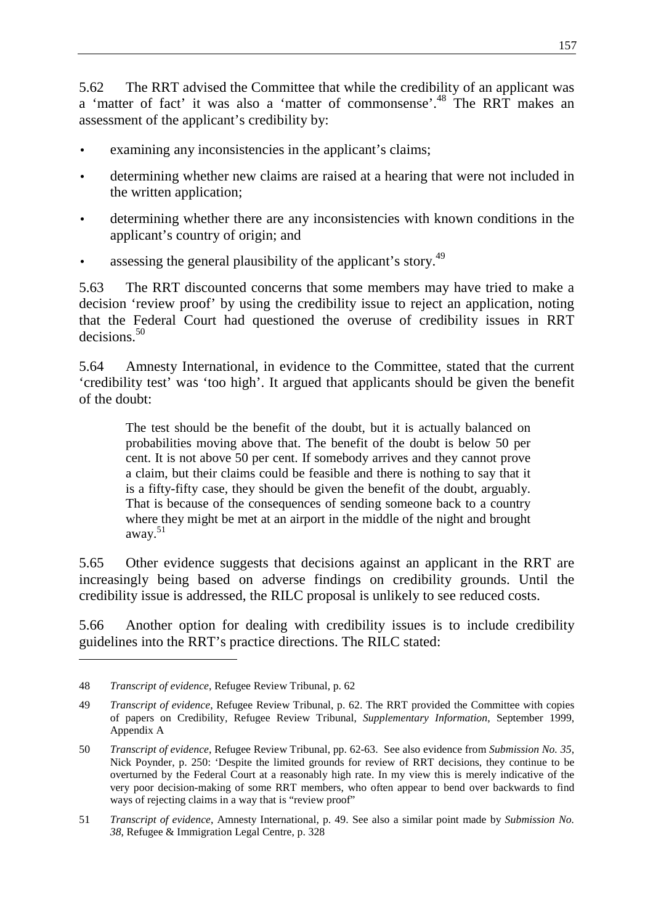5.62 The RRT advised the Committee that while the credibility of an applicant was a 'matter of fact' it was also a 'matter of commonsense'.<sup>48</sup> The RRT makes an assessment of the applicant's credibility by:

- examining any inconsistencies in the applicant's claims;
- determining whether new claims are raised at a hearing that were not included in the written application;
- determining whether there are any inconsistencies with known conditions in the applicant's country of origin; and
- assessing the general plausibility of the applicant's story.<sup>49</sup>

5.63 The RRT discounted concerns that some members may have tried to make a decision 'review proof' by using the credibility issue to reject an application, noting that the Federal Court had questioned the overuse of credibility issues in RRT decisions.<sup>50</sup>

5.64 Amnesty International, in evidence to the Committee, stated that the current 'credibility test' was 'too high'. It argued that applicants should be given the benefit of the doubt:

The test should be the benefit of the doubt, but it is actually balanced on probabilities moving above that. The benefit of the doubt is below 50 per cent. It is not above 50 per cent. If somebody arrives and they cannot prove a claim, but their claims could be feasible and there is nothing to say that it is a fifty-fifty case, they should be given the benefit of the doubt, arguably. That is because of the consequences of sending someone back to a country where they might be met at an airport in the middle of the night and brought away.<sup>51</sup>

5.65 Other evidence suggests that decisions against an applicant in the RRT are increasingly being based on adverse findings on credibility grounds. Until the credibility issue is addressed, the RILC proposal is unlikely to see reduced costs.

5.66 Another option for dealing with credibility issues is to include credibility guidelines into the RRT's practice directions. The RILC stated:

<sup>48</sup> *Transcript of evidence*, Refugee Review Tribunal, p. 62

<sup>49</sup> *Transcript of evidence*, Refugee Review Tribunal, p. 62. The RRT provided the Committee with copies of papers on Credibility, Refugee Review Tribunal, *Supplementary Information*, September 1999, Appendix A

<sup>50</sup> *Transcript of evidence*, Refugee Review Tribunal, pp. 62-63. See also evidence from *Submission No. 35*, Nick Poynder, p. 250: 'Despite the limited grounds for review of RRT decisions, they continue to be overturned by the Federal Court at a reasonably high rate. In my view this is merely indicative of the very poor decision-making of some RRT members, who often appear to bend over backwards to find ways of rejecting claims in a way that is "review proof"

<sup>51</sup> *Transcript of evidence*, Amnesty International, p. 49. See also a similar point made by *Submission No. 38*, Refugee & Immigration Legal Centre, p. 328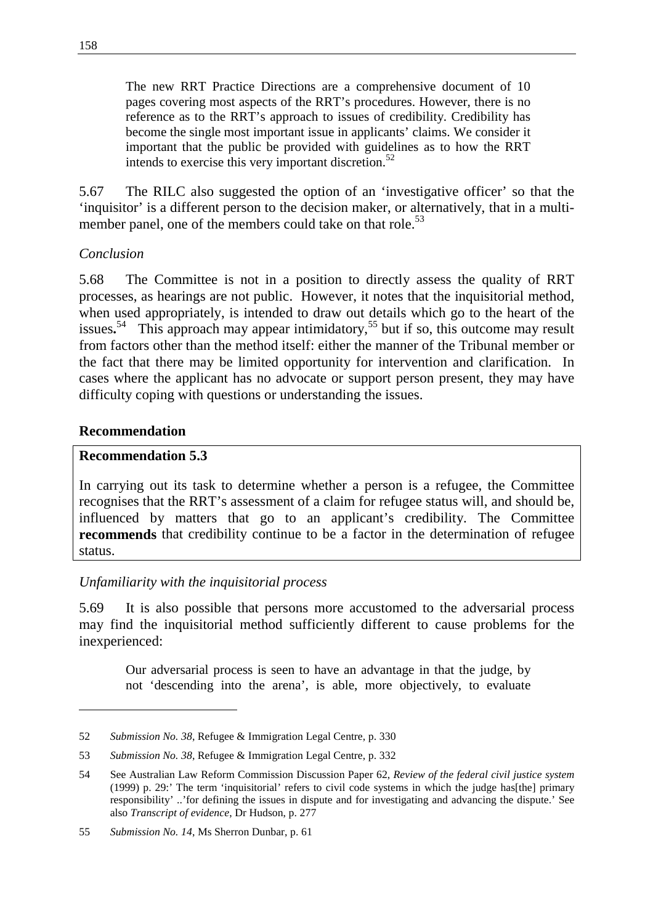The new RRT Practice Directions are a comprehensive document of 10 pages covering most aspects of the RRT's procedures. However, there is no reference as to the RRT's approach to issues of credibility. Credibility has become the single most important issue in applicants' claims. We consider it important that the public be provided with guidelines as to how the RRT intends to exercise this very important discretion.<sup>52</sup>

5.67 The RILC also suggested the option of an 'investigative officer' so that the 'inquisitor' is a different person to the decision maker, or alternatively, that in a multimember panel, one of the members could take on that role.<sup>53</sup>

## *Conclusion*

5.68 The Committee is not in a position to directly assess the quality of RRT processes, as hearings are not public. However, it notes that the inquisitorial method, when used appropriately, is intended to draw out details which go to the heart of the issues.<sup>54</sup> This approach may appear intimidatory,<sup>55</sup> but if so, this outcome may result from factors other than the method itself: either the manner of the Tribunal member or the fact that there may be limited opportunity for intervention and clarification. In cases where the applicant has no advocate or support person present, they may have difficulty coping with questions or understanding the issues.

## **Recommendation**

#### **Recommendation 5.3**

In carrying out its task to determine whether a person is a refugee, the Committee recognises that the RRT's assessment of a claim for refugee status will, and should be, influenced by matters that go to an applicant's credibility. The Committee **recommends** that credibility continue to be a factor in the determination of refugee status.

## *Unfamiliarity with the inquisitorial process*

5.69 It is also possible that persons more accustomed to the adversarial process may find the inquisitorial method sufficiently different to cause problems for the inexperienced:

Our adversarial process is seen to have an advantage in that the judge, by not 'descending into the arena', is able, more objectively, to evaluate

<sup>52</sup> *Submission No. 38*, Refugee & Immigration Legal Centre, p. 330

<sup>53</sup> *Submission No. 38*, Refugee & Immigration Legal Centre, p. 332

<sup>54</sup> See Australian Law Reform Commission Discussion Paper 62, *Review of the federal civil justice system* (1999) p. 29:' The term 'inquisitorial' refers to civil code systems in which the judge has[the] primary responsibility' ..'for defining the issues in dispute and for investigating and advancing the dispute.' See also *Transcript of evidence*, Dr Hudson, p. 277

<sup>55</sup> *Submission No. 14*, Ms Sherron Dunbar, p. 61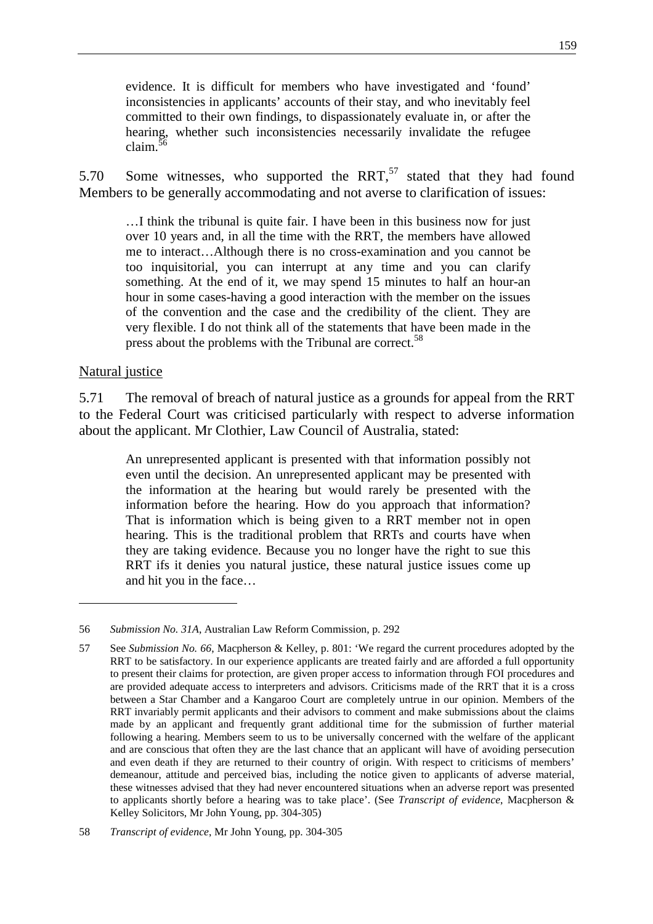evidence. It is difficult for members who have investigated and 'found' inconsistencies in applicants' accounts of their stay, and who inevitably feel committed to their own findings, to dispassionately evaluate in, or after the hearing, whether such inconsistencies necessarily invalidate the refugee claim. $56$ 

5.70 Some witnesses, who supported the RRT, $57$  stated that they had found Members to be generally accommodating and not averse to clarification of issues:

…I think the tribunal is quite fair. I have been in this business now for just over 10 years and, in all the time with the RRT, the members have allowed me to interact…Although there is no cross-examination and you cannot be too inquisitorial, you can interrupt at any time and you can clarify something. At the end of it, we may spend 15 minutes to half an hour-an hour in some cases-having a good interaction with the member on the issues of the convention and the case and the credibility of the client. They are very flexible. I do not think all of the statements that have been made in the press about the problems with the Tribunal are correct.<sup>58</sup>

#### Natural justice

5.71 The removal of breach of natural justice as a grounds for appeal from the RRT to the Federal Court was criticised particularly with respect to adverse information about the applicant. Mr Clothier, Law Council of Australia, stated:

An unrepresented applicant is presented with that information possibly not even until the decision. An unrepresented applicant may be presented with the information at the hearing but would rarely be presented with the information before the hearing. How do you approach that information? That is information which is being given to a RRT member not in open hearing. This is the traditional problem that RRTs and courts have when they are taking evidence. Because you no longer have the right to sue this RRT ifs it denies you natural justice, these natural justice issues come up and hit you in the face…

<sup>56</sup> *Submission No. 31A*, Australian Law Reform Commission, p. 292

<sup>57</sup> See *Submission No. 66*, Macpherson & Kelley, p. 801: 'We regard the current procedures adopted by the RRT to be satisfactory. In our experience applicants are treated fairly and are afforded a full opportunity to present their claims for protection, are given proper access to information through FOI procedures and are provided adequate access to interpreters and advisors. Criticisms made of the RRT that it is a cross between a Star Chamber and a Kangaroo Court are completely untrue in our opinion. Members of the RRT invariably permit applicants and their advisors to comment and make submissions about the claims made by an applicant and frequently grant additional time for the submission of further material following a hearing. Members seem to us to be universally concerned with the welfare of the applicant and are conscious that often they are the last chance that an applicant will have of avoiding persecution and even death if they are returned to their country of origin. With respect to criticisms of members' demeanour, attitude and perceived bias, including the notice given to applicants of adverse material, these witnesses advised that they had never encountered situations when an adverse report was presented to applicants shortly before a hearing was to take place'. (See *Transcript of evidence*, Macpherson & Kelley Solicitors, Mr John Young, pp. 304-305)

<sup>58</sup> *Transcript of evidence*, Mr John Young, pp. 304-305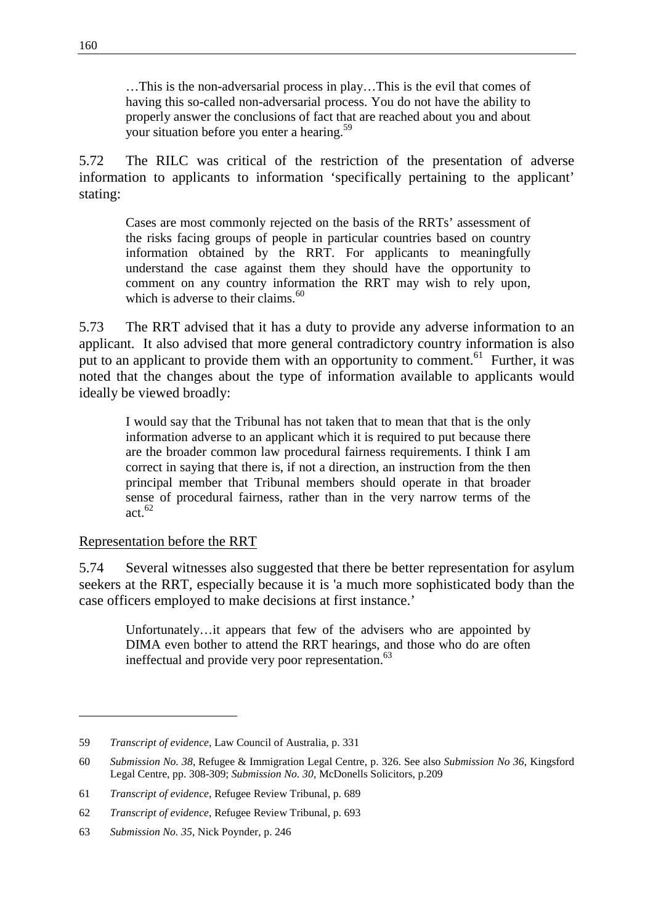…This is the non-adversarial process in play…This is the evil that comes of having this so-called non-adversarial process. You do not have the ability to properly answer the conclusions of fact that are reached about you and about your situation before you enter a hearing.<sup>59</sup>

5.72 The RILC was critical of the restriction of the presentation of adverse information to applicants to information 'specifically pertaining to the applicant' stating:

Cases are most commonly rejected on the basis of the RRTs' assessment of the risks facing groups of people in particular countries based on country information obtained by the RRT. For applicants to meaningfully understand the case against them they should have the opportunity to comment on any country information the RRT may wish to rely upon, which is adverse to their claims. $60$ 

5.73 The RRT advised that it has a duty to provide any adverse information to an applicant. It also advised that more general contradictory country information is also put to an applicant to provide them with an opportunity to comment.<sup>61</sup> Further, it was noted that the changes about the type of information available to applicants would ideally be viewed broadly:

I would say that the Tribunal has not taken that to mean that that is the only information adverse to an applicant which it is required to put because there are the broader common law procedural fairness requirements. I think I am correct in saying that there is, if not a direction, an instruction from the then principal member that Tribunal members should operate in that broader sense of procedural fairness, rather than in the very narrow terms of the act  $62$ 

## Representation before the RRT

 $\overline{a}$ 

5.74 Several witnesses also suggested that there be better representation for asylum seekers at the RRT, especially because it is 'a much more sophisticated body than the case officers employed to make decisions at first instance.'

Unfortunately…it appears that few of the advisers who are appointed by DIMA even bother to attend the RRT hearings, and those who do are often ineffectual and provide very poor representation.<sup>63</sup>

<sup>59</sup> *Transcript of evidence*, Law Council of Australia, p. 331

<sup>60</sup> *Submission No. 38*, Refugee & Immigration Legal Centre, p. 326. See also *Submission No 36*, Kingsford Legal Centre, pp. 308-309; *Submission No. 30*, McDonells Solicitors, p.209

<sup>61</sup> *Transcript of evidence*, Refugee Review Tribunal, p. 689

<sup>62</sup> *Transcript of evidence*, Refugee Review Tribunal, p. 693

<sup>63</sup> *Submission No. 35*, Nick Poynder, p. 246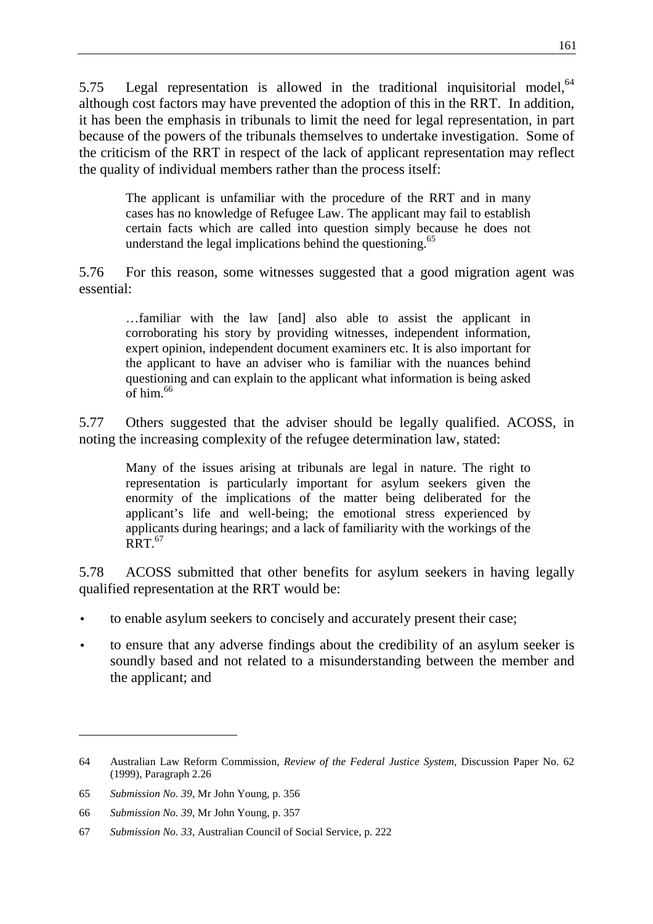5.75 Legal representation is allowed in the traditional inquisitorial model,  $64$ although cost factors may have prevented the adoption of this in the RRT. In addition, it has been the emphasis in tribunals to limit the need for legal representation, in part because of the powers of the tribunals themselves to undertake investigation. Some of the criticism of the RRT in respect of the lack of applicant representation may reflect the quality of individual members rather than the process itself:

The applicant is unfamiliar with the procedure of the RRT and in many cases has no knowledge of Refugee Law. The applicant may fail to establish certain facts which are called into question simply because he does not understand the legal implications behind the questioning.<sup>65</sup>

5.76 For this reason, some witnesses suggested that a good migration agent was essential:

…familiar with the law [and] also able to assist the applicant in corroborating his story by providing witnesses, independent information, expert opinion, independent document examiners etc. It is also important for the applicant to have an adviser who is familiar with the nuances behind questioning and can explain to the applicant what information is being asked  $\overline{\text{of}}$  him  $^{66}$ 

5.77 Others suggested that the adviser should be legally qualified. ACOSS, in noting the increasing complexity of the refugee determination law, stated:

Many of the issues arising at tribunals are legal in nature. The right to representation is particularly important for asylum seekers given the enormity of the implications of the matter being deliberated for the applicant's life and well-being; the emotional stress experienced by applicants during hearings; and a lack of familiarity with the workings of the  $RRT<sup>67</sup>$ 

5.78 ACOSS submitted that other benefits for asylum seekers in having legally qualified representation at the RRT would be:

- to enable asylum seekers to concisely and accurately present their case;
- to ensure that any adverse findings about the credibility of an asylum seeker is soundly based and not related to a misunderstanding between the member and the applicant; and

<sup>64</sup> Australian Law Reform Commission, *Review of the Federal Justice System,* Discussion Paper No. 62 (1999), Paragraph 2.26

<sup>65</sup> *Submission No. 39*, Mr John Young, p. 356

<sup>66</sup> *Submission No. 39*, Mr John Young, p. 357

<sup>67</sup> *Submission No. 33*, Australian Council of Social Service, p. 222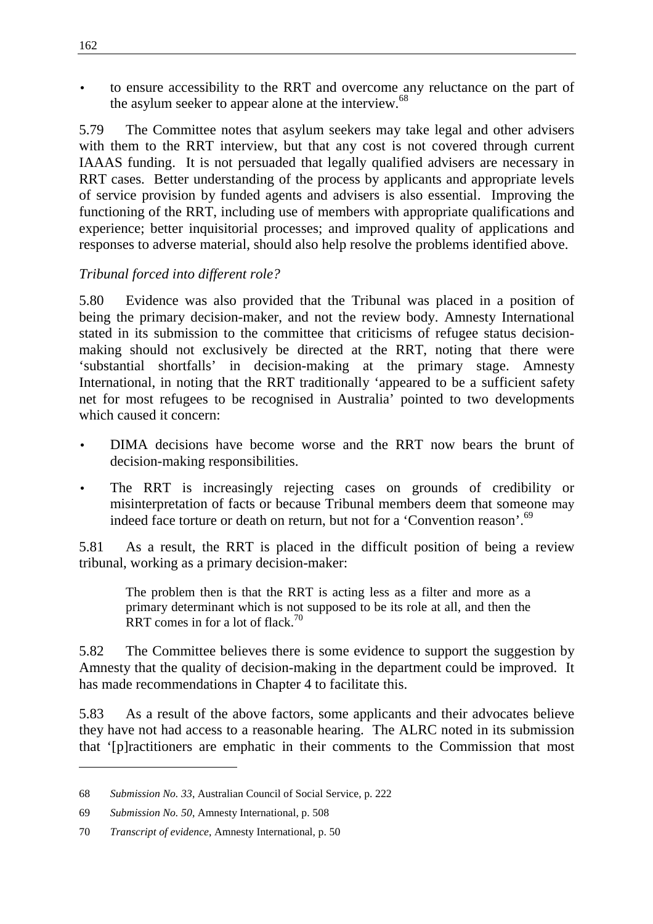• to ensure accessibility to the RRT and overcome any reluctance on the part of the asylum seeker to appear alone at the interview.<sup>68</sup>

5.79 The Committee notes that asylum seekers may take legal and other advisers with them to the RRT interview, but that any cost is not covered through current IAAAS funding. It is not persuaded that legally qualified advisers are necessary in RRT cases. Better understanding of the process by applicants and appropriate levels of service provision by funded agents and advisers is also essential. Improving the functioning of the RRT, including use of members with appropriate qualifications and experience; better inquisitorial processes; and improved quality of applications and responses to adverse material, should also help resolve the problems identified above.

## *Tribunal forced into different role?*

5.80 Evidence was also provided that the Tribunal was placed in a position of being the primary decision-maker, and not the review body. Amnesty International stated in its submission to the committee that criticisms of refugee status decisionmaking should not exclusively be directed at the RRT, noting that there were 'substantial shortfalls' in decision-making at the primary stage. Amnesty International, in noting that the RRT traditionally 'appeared to be a sufficient safety net for most refugees to be recognised in Australia' pointed to two developments which caused it concern:

- DIMA decisions have become worse and the RRT now bears the brunt of decision-making responsibilities.
- The RRT is increasingly rejecting cases on grounds of credibility or misinterpretation of facts or because Tribunal members deem that someone may indeed face torture or death on return, but not for a 'Convention reason'.<sup>69</sup>

5.81 As a result, the RRT is placed in the difficult position of being a review tribunal, working as a primary decision-maker:

The problem then is that the RRT is acting less as a filter and more as a primary determinant which is not supposed to be its role at all, and then the RRT comes in for a lot of flack.<sup>70</sup>

5.82 The Committee believes there is some evidence to support the suggestion by Amnesty that the quality of decision-making in the department could be improved. It has made recommendations in Chapter 4 to facilitate this.

5.83 As a result of the above factors, some applicants and their advocates believe they have not had access to a reasonable hearing. The ALRC noted in its submission that '[p]ractitioners are emphatic in their comments to the Commission that most

<sup>68</sup> *Submission No. 33*, Australian Council of Social Service, p. 222

<sup>69</sup> *Submission No. 50*, Amnesty International, p. 508

<sup>70</sup> *Transcript of evidence*, Amnesty International, p. 50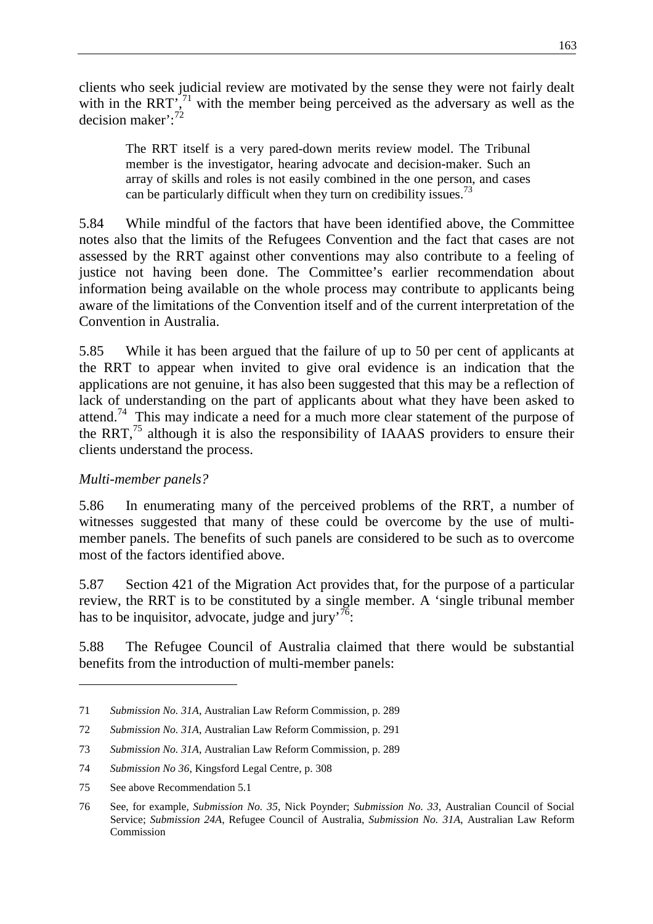clients who seek judicial review are motivated by the sense they were not fairly dealt with in the RRT', $71$  with the member being perceived as the adversary as well as the decision maker':<sup>72</sup>

The RRT itself is a very pared-down merits review model. The Tribunal member is the investigator, hearing advocate and decision-maker. Such an array of skills and roles is not easily combined in the one person, and cases can be particularly difficult when they turn on credibility issues.<sup>73</sup>

5.84 While mindful of the factors that have been identified above, the Committee notes also that the limits of the Refugees Convention and the fact that cases are not assessed by the RRT against other conventions may also contribute to a feeling of justice not having been done. The Committee's earlier recommendation about information being available on the whole process may contribute to applicants being aware of the limitations of the Convention itself and of the current interpretation of the Convention in Australia.

5.85 While it has been argued that the failure of up to 50 per cent of applicants at the RRT to appear when invited to give oral evidence is an indication that the applications are not genuine, it has also been suggested that this may be a reflection of lack of understanding on the part of applicants about what they have been asked to attend.74 This may indicate a need for a much more clear statement of the purpose of the RRT,  $^{75}$  although it is also the responsibility of IAAAS providers to ensure their clients understand the process.

## *Multi-member panels?*

5.86 In enumerating many of the perceived problems of the RRT, a number of witnesses suggested that many of these could be overcome by the use of multimember panels. The benefits of such panels are considered to be such as to overcome most of the factors identified above.

5.87 Section 421 of the Migration Act provides that, for the purpose of a particular review, the RRT is to be constituted by a single member. A 'single tribunal member has to be inquisitor, advocate, judge and jury' $\frac{76}{6}$ .

5.88 The Refugee Council of Australia claimed that there would be substantial benefits from the introduction of multi-member panels:

<sup>71</sup> *Submission No. 31A*, Australian Law Reform Commission, p. 289

<sup>72</sup> *Submission No. 31A*, Australian Law Reform Commission, p. 291

<sup>73</sup> *Submission No. 31A*, Australian Law Reform Commission, p. 289

<sup>74</sup> *Submission No 36*, Kingsford Legal Centre, p. 308

<sup>75</sup> See above Recommendation 5.1

<sup>76</sup> See, for example, *Submission No. 35*, Nick Poynder; *Submission No. 33*, Australian Council of Social Service; *Submission 24A*, Refugee Council of Australia, *Submission No. 31A*, Australian Law Reform Commission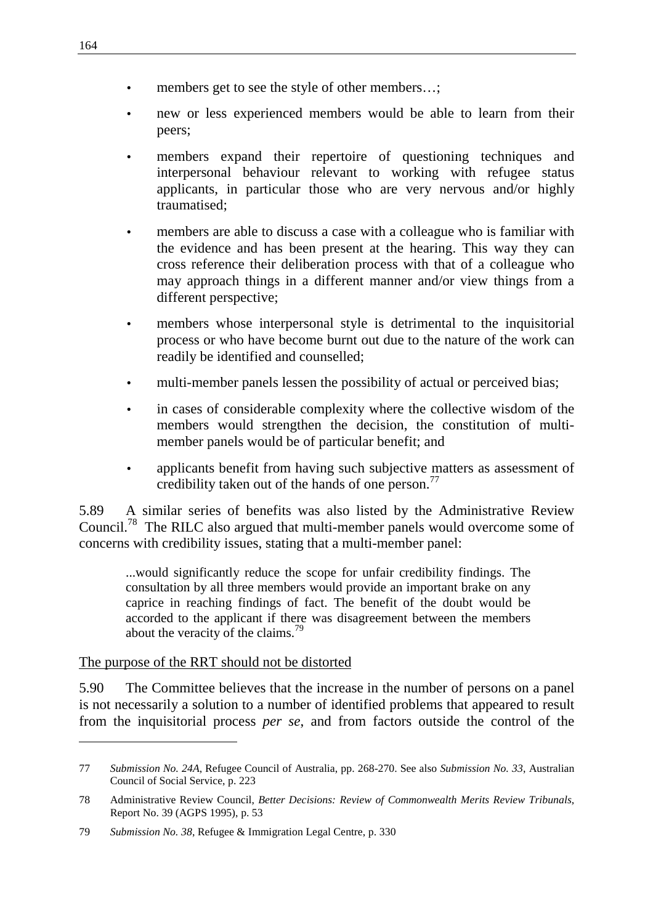- members get to see the style of other members...;
- new or less experienced members would be able to learn from their peers;
- members expand their repertoire of questioning techniques and interpersonal behaviour relevant to working with refugee status applicants, in particular those who are very nervous and/or highly traumatised;
- members are able to discuss a case with a colleague who is familiar with the evidence and has been present at the hearing. This way they can cross reference their deliberation process with that of a colleague who may approach things in a different manner and/or view things from a different perspective;
- members whose interpersonal style is detrimental to the inquisitorial process or who have become burnt out due to the nature of the work can readily be identified and counselled;
- multi-member panels lessen the possibility of actual or perceived bias;
- in cases of considerable complexity where the collective wisdom of the members would strengthen the decision, the constitution of multimember panels would be of particular benefit; and
- applicants benefit from having such subjective matters as assessment of credibility taken out of the hands of one person.<sup>77</sup>

5.89 A similar series of benefits was also listed by the Administrative Review Council.78 The RILC also argued that multi-member panels would overcome some of concerns with credibility issues, stating that a multi-member panel:

...would significantly reduce the scope for unfair credibility findings. The consultation by all three members would provide an important brake on any caprice in reaching findings of fact. The benefit of the doubt would be accorded to the applicant if there was disagreement between the members about the veracity of the claims.<sup>79</sup>

#### The purpose of the RRT should not be distorted

5.90 The Committee believes that the increase in the number of persons on a panel is not necessarily a solution to a number of identified problems that appeared to result from the inquisitorial process *per se*, and from factors outside the control of the

<sup>77</sup> *Submission No. 24A*, Refugee Council of Australia, pp. 268-270. See also *Submission No. 33*, Australian Council of Social Service, p. 223

<sup>78</sup> Administrative Review Council, *Better Decisions: Review of Commonwealth Merits Review Tribunals*, Report No. 39 (AGPS 1995), p. 53

<sup>79</sup> *Submission No. 38*, Refugee & Immigration Legal Centre, p. 330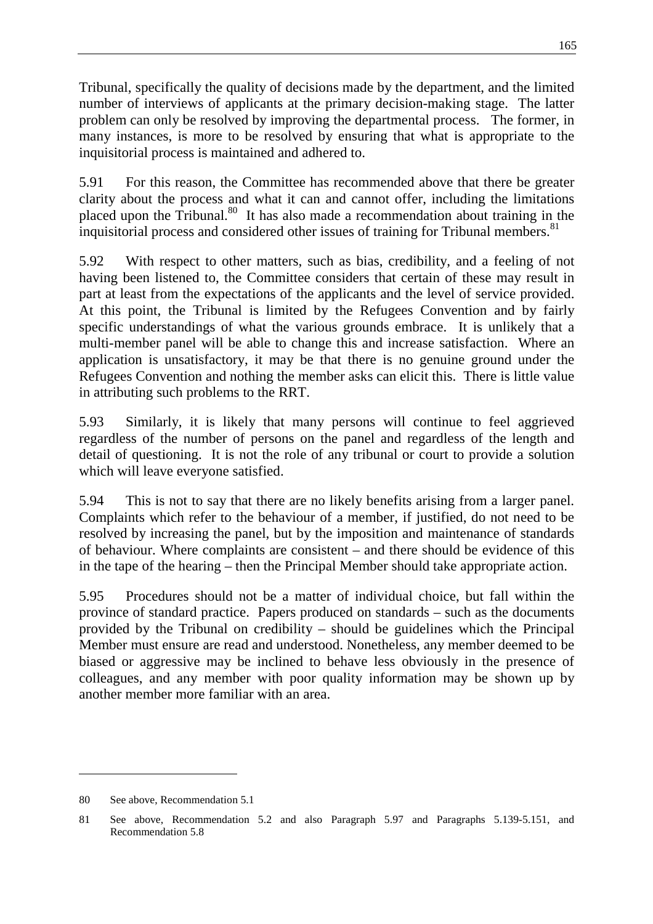Tribunal, specifically the quality of decisions made by the department, and the limited number of interviews of applicants at the primary decision-making stage. The latter problem can only be resolved by improving the departmental process. The former, in many instances, is more to be resolved by ensuring that what is appropriate to the inquisitorial process is maintained and adhered to.

5.91 For this reason, the Committee has recommended above that there be greater clarity about the process and what it can and cannot offer, including the limitations placed upon the Tribunal.<sup>80</sup> It has also made a recommendation about training in the inquisitorial process and considered other issues of training for Tribunal members. $81$ 

5.92 With respect to other matters, such as bias, credibility, and a feeling of not having been listened to, the Committee considers that certain of these may result in part at least from the expectations of the applicants and the level of service provided. At this point, the Tribunal is limited by the Refugees Convention and by fairly specific understandings of what the various grounds embrace. It is unlikely that a multi-member panel will be able to change this and increase satisfaction. Where an application is unsatisfactory, it may be that there is no genuine ground under the Refugees Convention and nothing the member asks can elicit this. There is little value in attributing such problems to the RRT.

5.93 Similarly, it is likely that many persons will continue to feel aggrieved regardless of the number of persons on the panel and regardless of the length and detail of questioning. It is not the role of any tribunal or court to provide a solution which will leave everyone satisfied.

5.94 This is not to say that there are no likely benefits arising from a larger panel. Complaints which refer to the behaviour of a member, if justified, do not need to be resolved by increasing the panel, but by the imposition and maintenance of standards of behaviour. Where complaints are consistent – and there should be evidence of this in the tape of the hearing – then the Principal Member should take appropriate action.

5.95 Procedures should not be a matter of individual choice, but fall within the province of standard practice. Papers produced on standards – such as the documents provided by the Tribunal on credibility – should be guidelines which the Principal Member must ensure are read and understood. Nonetheless, any member deemed to be biased or aggressive may be inclined to behave less obviously in the presence of colleagues, and any member with poor quality information may be shown up by another member more familiar with an area.

<sup>80</sup> See above, Recommendation 5.1

<sup>81</sup> See above, Recommendation 5.2 and also Paragraph 5.97 and Paragraphs 5.139-5.151, and Recommendation 5.8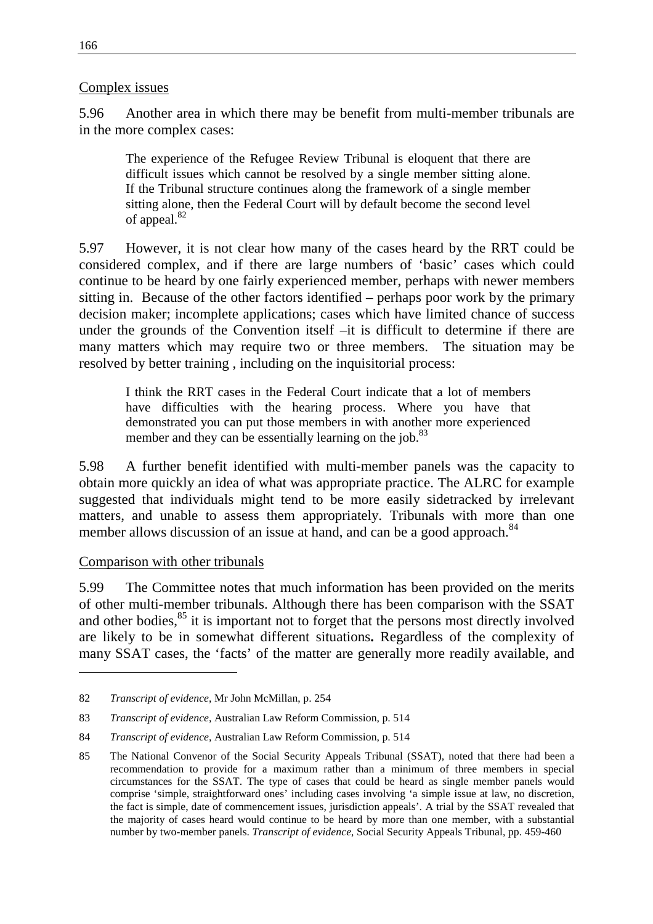#### Complex issues

5.96 Another area in which there may be benefit from multi-member tribunals are in the more complex cases:

The experience of the Refugee Review Tribunal is eloquent that there are difficult issues which cannot be resolved by a single member sitting alone. If the Tribunal structure continues along the framework of a single member sitting alone, then the Federal Court will by default become the second level of appeal.<sup>82</sup>

5.97 However, it is not clear how many of the cases heard by the RRT could be considered complex, and if there are large numbers of 'basic' cases which could continue to be heard by one fairly experienced member, perhaps with newer members sitting in. Because of the other factors identified – perhaps poor work by the primary decision maker; incomplete applications; cases which have limited chance of success under the grounds of the Convention itself –it is difficult to determine if there are many matters which may require two or three members. The situation may be resolved by better training , including on the inquisitorial process:

I think the RRT cases in the Federal Court indicate that a lot of members have difficulties with the hearing process. Where you have that demonstrated you can put those members in with another more experienced member and they can be essentially learning on the job.<sup>83</sup>

5.98 A further benefit identified with multi-member panels was the capacity to obtain more quickly an idea of what was appropriate practice. The ALRC for example suggested that individuals might tend to be more easily sidetracked by irrelevant matters, and unable to assess them appropriately. Tribunals with more than one member allows discussion of an issue at hand, and can be a good approach.<sup>84</sup>

#### Comparison with other tribunals

5.99 The Committee notes that much information has been provided on the merits of other multi-member tribunals. Although there has been comparison with the SSAT and other bodies, $85$  it is important not to forget that the persons most directly involved are likely to be in somewhat different situations**.** Regardless of the complexity of many SSAT cases, the 'facts' of the matter are generally more readily available, and

<sup>82</sup> *Transcript of evidence*, Mr John McMillan, p. 254

<sup>83</sup> *Transcript of evidence*, Australian Law Reform Commission, p. 514

<sup>84</sup> *Transcript of evidence*, Australian Law Reform Commission, p. 514

<sup>85</sup> The National Convenor of the Social Security Appeals Tribunal (SSAT), noted that there had been a recommendation to provide for a maximum rather than a minimum of three members in special circumstances for the SSAT. The type of cases that could be heard as single member panels would comprise 'simple, straightforward ones' including cases involving 'a simple issue at law, no discretion, the fact is simple, date of commencement issues, jurisdiction appeals'. A trial by the SSAT revealed that the majority of cases heard would continue to be heard by more than one member, with a substantial number by two-member panels. *Transcript of evidence*, Social Security Appeals Tribunal, pp. 459-460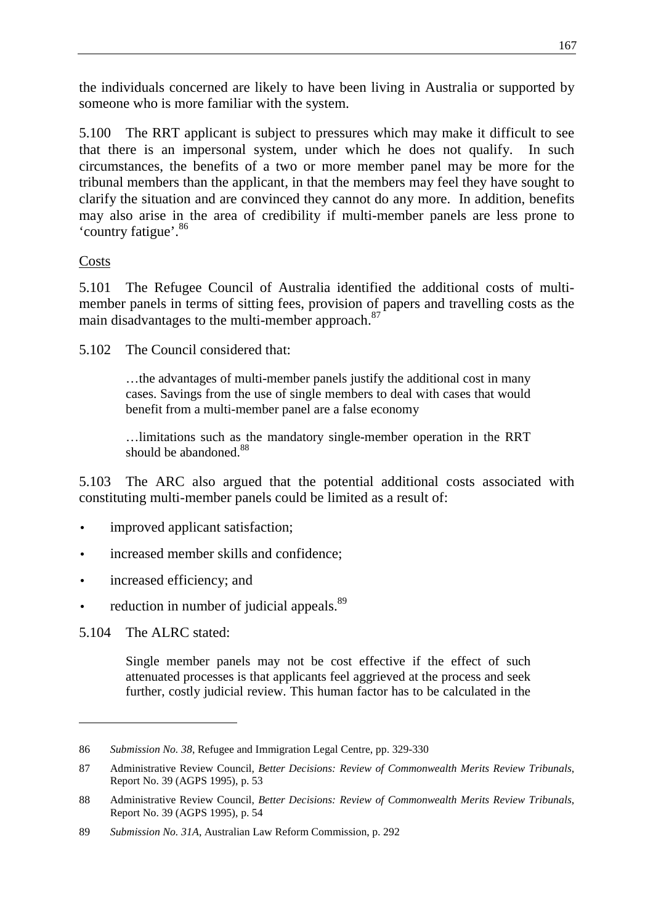the individuals concerned are likely to have been living in Australia or supported by someone who is more familiar with the system.

5.100 The RRT applicant is subject to pressures which may make it difficult to see that there is an impersonal system, under which he does not qualify. In such circumstances, the benefits of a two or more member panel may be more for the tribunal members than the applicant, in that the members may feel they have sought to clarify the situation and are convinced they cannot do any more. In addition, benefits may also arise in the area of credibility if multi-member panels are less prone to 'country fatigue'.<sup>86</sup>

## Costs

5.101 The Refugee Council of Australia identified the additional costs of multimember panels in terms of sitting fees, provision of papers and travelling costs as the main disadvantages to the multi-member approach.<sup>87</sup>

5.102 The Council considered that:

…the advantages of multi-member panels justify the additional cost in many cases. Savings from the use of single members to deal with cases that would benefit from a multi-member panel are a false economy

…limitations such as the mandatory single-member operation in the RRT should be abandoned. $88$ 

5.103 The ARC also argued that the potential additional costs associated with constituting multi-member panels could be limited as a result of:

- improved applicant satisfaction;
- increased member skills and confidence;
- increased efficiency; and
- reduction in number of judicial appeals.<sup>89</sup>

5.104 The ALRC stated:

 $\overline{a}$ 

Single member panels may not be cost effective if the effect of such attenuated processes is that applicants feel aggrieved at the process and seek further, costly judicial review. This human factor has to be calculated in the

<sup>86</sup> *Submission No. 38*, Refugee and Immigration Legal Centre, pp. 329-330

<sup>87</sup> Administrative Review Council, *Better Decisions: Review of Commonwealth Merits Review Tribunals*, Report No. 39 (AGPS 1995), p. 53

<sup>88</sup> Administrative Review Council, *Better Decisions: Review of Commonwealth Merits Review Tribunals*, Report No. 39 (AGPS 1995), p. 54

<sup>89</sup> *Submission No. 31A*, Australian Law Reform Commission, p. 292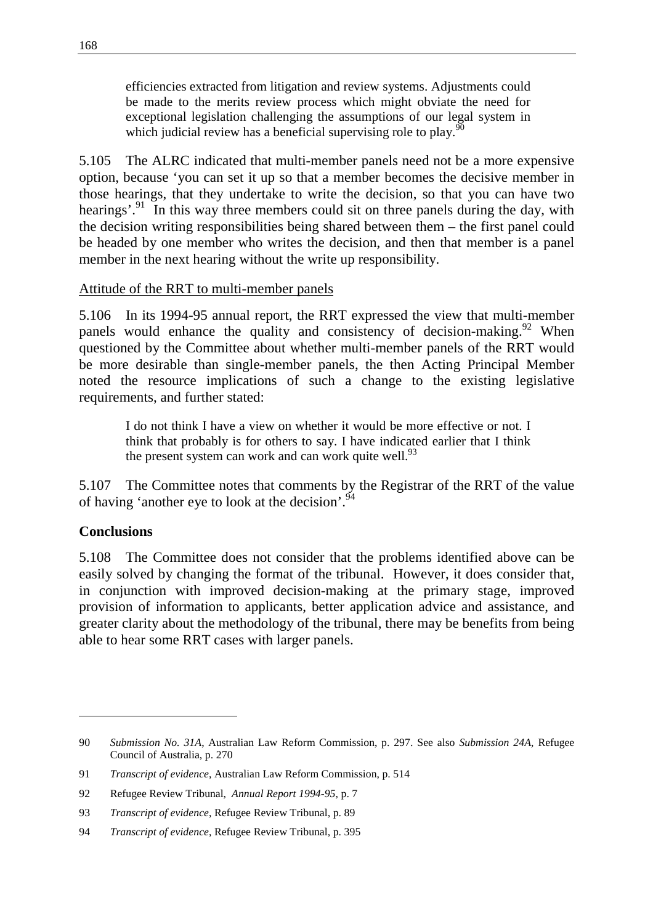efficiencies extracted from litigation and review systems. Adjustments could be made to the merits review process which might obviate the need for exceptional legislation challenging the assumptions of our legal system in which judicial review has a beneficial supervising role to play. $90$ 

5.105 The ALRC indicated that multi-member panels need not be a more expensive option, because 'you can set it up so that a member becomes the decisive member in those hearings, that they undertake to write the decision, so that you can have two hearings'.<sup>91</sup> In this way three members could sit on three panels during the day, with the decision writing responsibilities being shared between them – the first panel could be headed by one member who writes the decision, and then that member is a panel member in the next hearing without the write up responsibility.

#### Attitude of the RRT to multi-member panels

5.106 In its 1994-95 annual report, the RRT expressed the view that multi-member panels would enhance the quality and consistency of decision-making.<sup>92</sup> When questioned by the Committee about whether multi-member panels of the RRT would be more desirable than single-member panels, the then Acting Principal Member noted the resource implications of such a change to the existing legislative requirements, and further stated:

I do not think I have a view on whether it would be more effective or not. I think that probably is for others to say. I have indicated earlier that I think the present system can work and can work quite well.<sup>93</sup>

5.107 The Committee notes that comments by the Registrar of the RRT of the value of having 'another eye to look at the decision'.<sup>94</sup>

## **Conclusions**

 $\overline{a}$ 

5.108 The Committee does not consider that the problems identified above can be easily solved by changing the format of the tribunal. However, it does consider that, in conjunction with improved decision-making at the primary stage, improved provision of information to applicants, better application advice and assistance, and greater clarity about the methodology of the tribunal, there may be benefits from being able to hear some RRT cases with larger panels.

<sup>90</sup> *Submission No. 31A*, Australian Law Reform Commission, p. 297. See also *Submission 24A*, Refugee Council of Australia, p. 270

<sup>91</sup> *Transcript of evidence*, Australian Law Reform Commission, p. 514

<sup>92</sup> Refugee Review Tribunal, *Annual Report 1994-95*, p. 7

<sup>93</sup> *Transcript of evidence*, Refugee Review Tribunal, p. 89

<sup>94</sup> *Transcript of evidence*, Refugee Review Tribunal, p. 395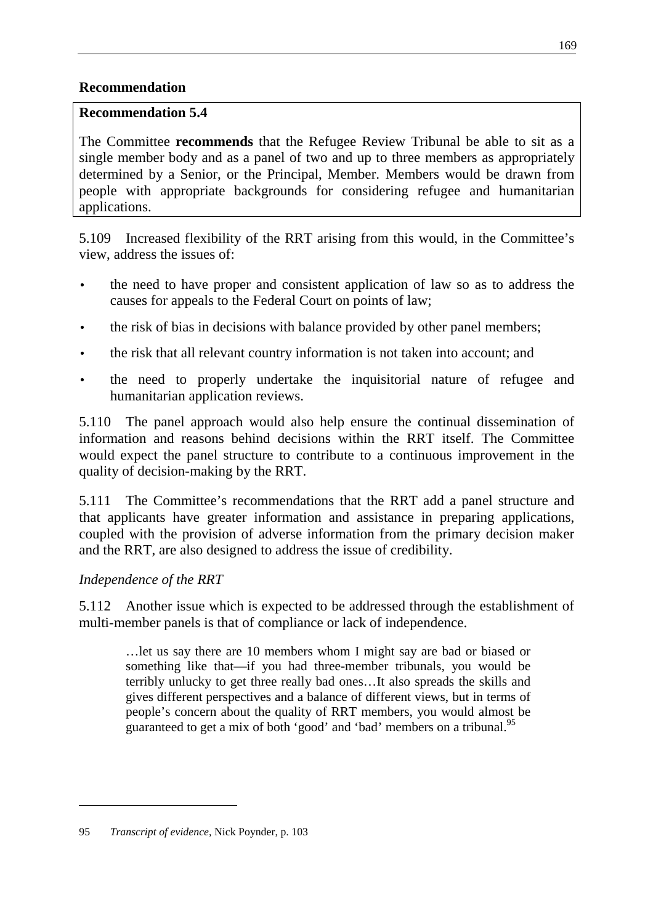## **Recommendation**

#### **Recommendation 5.4**

The Committee **recommends** that the Refugee Review Tribunal be able to sit as a single member body and as a panel of two and up to three members as appropriately determined by a Senior, or the Principal, Member. Members would be drawn from people with appropriate backgrounds for considering refugee and humanitarian applications.

5.109 Increased flexibility of the RRT arising from this would, in the Committee's view, address the issues of:

- the need to have proper and consistent application of law so as to address the causes for appeals to the Federal Court on points of law;
- the risk of bias in decisions with balance provided by other panel members;
- the risk that all relevant country information is not taken into account; and
- the need to properly undertake the inquisitorial nature of refugee and humanitarian application reviews.

5.110 The panel approach would also help ensure the continual dissemination of information and reasons behind decisions within the RRT itself. The Committee would expect the panel structure to contribute to a continuous improvement in the quality of decision-making by the RRT.

5.111 The Committee's recommendations that the RRT add a panel structure and that applicants have greater information and assistance in preparing applications, coupled with the provision of adverse information from the primary decision maker and the RRT, are also designed to address the issue of credibility.

# *Independence of the RRT*

5.112 Another issue which is expected to be addressed through the establishment of multi-member panels is that of compliance or lack of independence.

…let us say there are 10 members whom I might say are bad or biased or something like that—if you had three-member tribunals, you would be terribly unlucky to get three really bad ones…It also spreads the skills and gives different perspectives and a balance of different views, but in terms of people's concern about the quality of RRT members, you would almost be guaranteed to get a mix of both 'good' and 'bad' members on a tribunal.<sup>95</sup>

<sup>95</sup> *Transcript of evidence*, Nick Poynder, p. 103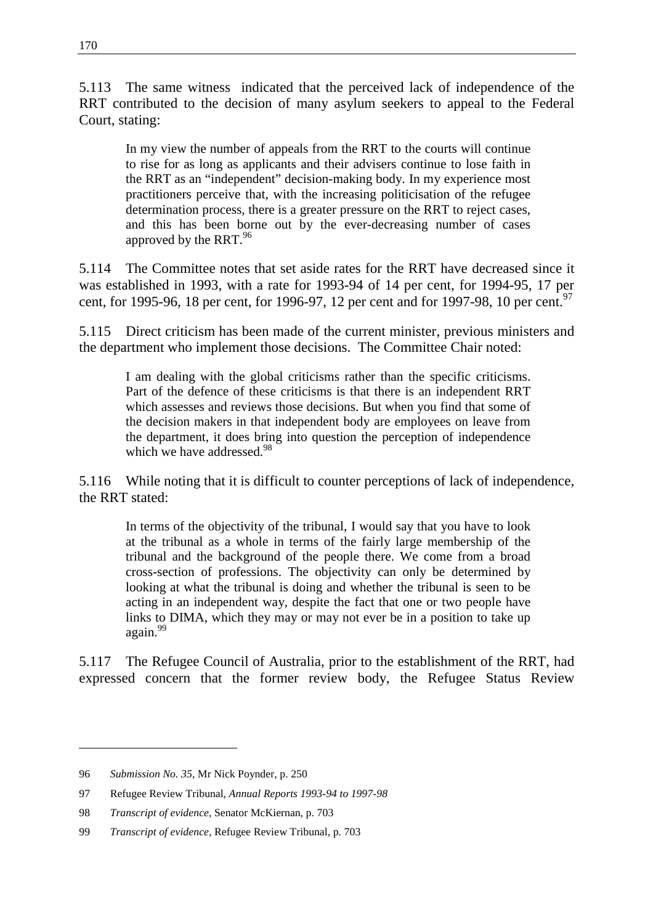5.113 The same witness indicated that the perceived lack of independence of the RRT contributed to the decision of many asylum seekers to appeal to the Federal Court, stating:

In my view the number of appeals from the RRT to the courts will continue to rise for as long as applicants and their advisers continue to lose faith in the RRT as an "independent" decision-making body. In my experience most practitioners perceive that, with the increasing politicisation of the refugee determination process, there is a greater pressure on the RRT to reject cases, and this has been borne out by the ever-decreasing number of cases approved by the RRT.<sup>96</sup>

5.114 The Committee notes that set aside rates for the RRT have decreased since it was established in 1993, with a rate for 1993-94 of 14 per cent, for 1994-95, 17 per cent, for 1995-96, 18 per cent, for 1996-97, 12 per cent and for 1997-98, 10 per cent.<sup>97</sup>

5.115 Direct criticism has been made of the current minister, previous ministers and the department who implement those decisions. The Committee Chair noted:

I am dealing with the global criticisms rather than the specific criticisms. Part of the defence of these criticisms is that there is an independent RRT which assesses and reviews those decisions. But when you find that some of the decision makers in that independent body are employees on leave from the department, it does bring into question the perception of independence which we have addressed.<sup>98</sup>

5.116 While noting that it is difficult to counter perceptions of lack of independence, the RRT stated:

In terms of the objectivity of the tribunal, I would say that you have to look at the tribunal as a whole in terms of the fairly large membership of the tribunal and the background of the people there. We come from a broad cross-section of professions. The objectivity can only be determined by looking at what the tribunal is doing and whether the tribunal is seen to be acting in an independent way, despite the fact that one or two people have links to DIMA, which they may or may not ever be in a position to take up again.<sup>99</sup>

5.117 The Refugee Council of Australia, prior to the establishment of the RRT, had expressed concern that the former review body, the Refugee Status Review

<sup>96</sup> *Submission No. 35*, Mr Nick Poynder, p. 250

<sup>97</sup> Refugee Review Tribunal, *Annual Reports 1993-94 to 1997-98*

<sup>98</sup> *Transcript of evidence*, Senator McKiernan, p. 703

<sup>99</sup> *Transcript of evidence*, Refugee Review Tribunal, p. 703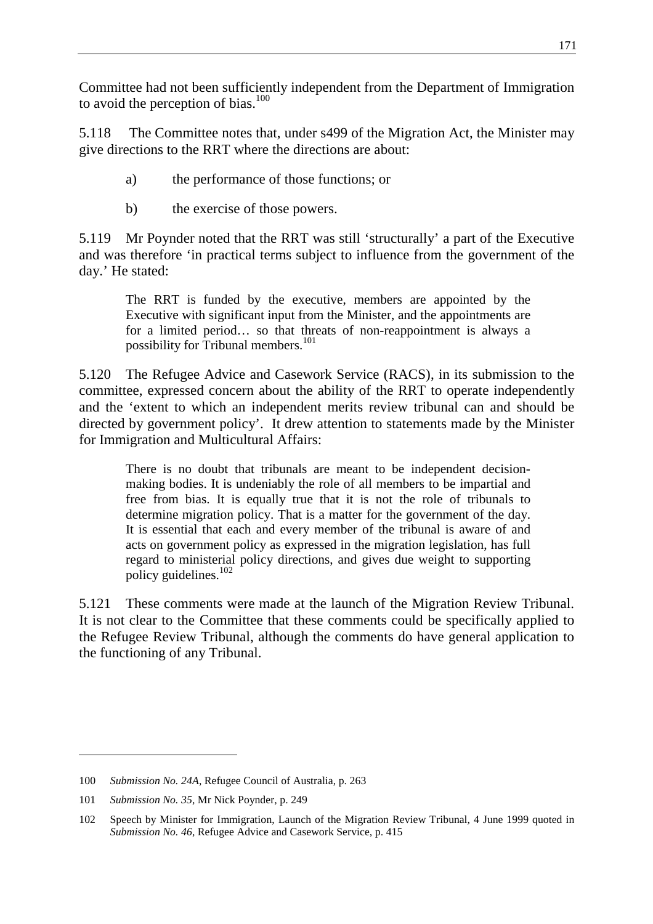Committee had not been sufficiently independent from the Department of Immigration to avoid the perception of bias. $100$ 

5.118 The Committee notes that, under s499 of the Migration Act, the Minister may give directions to the RRT where the directions are about:

- a) the performance of those functions; or
- b) the exercise of those powers.

5.119 Mr Poynder noted that the RRT was still 'structurally' a part of the Executive and was therefore 'in practical terms subject to influence from the government of the day.' He stated:

The RRT is funded by the executive, members are appointed by the Executive with significant input from the Minister, and the appointments are for a limited period… so that threats of non-reappointment is always a possibility for Tribunal members.<sup>101</sup>

5.120 The Refugee Advice and Casework Service (RACS), in its submission to the committee, expressed concern about the ability of the RRT to operate independently and the 'extent to which an independent merits review tribunal can and should be directed by government policy'. It drew attention to statements made by the Minister for Immigration and Multicultural Affairs:

There is no doubt that tribunals are meant to be independent decisionmaking bodies. It is undeniably the role of all members to be impartial and free from bias. It is equally true that it is not the role of tribunals to determine migration policy. That is a matter for the government of the day. It is essential that each and every member of the tribunal is aware of and acts on government policy as expressed in the migration legislation, has full regard to ministerial policy directions, and gives due weight to supporting policy guidelines.<sup>102</sup>

5.121 These comments were made at the launch of the Migration Review Tribunal. It is not clear to the Committee that these comments could be specifically applied to the Refugee Review Tribunal, although the comments do have general application to the functioning of any Tribunal.

<sup>100</sup> *Submission No. 24A*, Refugee Council of Australia, p. 263

<sup>101</sup> *Submission No. 35*, Mr Nick Poynder, p. 249

<sup>102</sup> Speech by Minister for Immigration, Launch of the Migration Review Tribunal, 4 June 1999 quoted in *Submission No. 46*, Refugee Advice and Casework Service, p. 415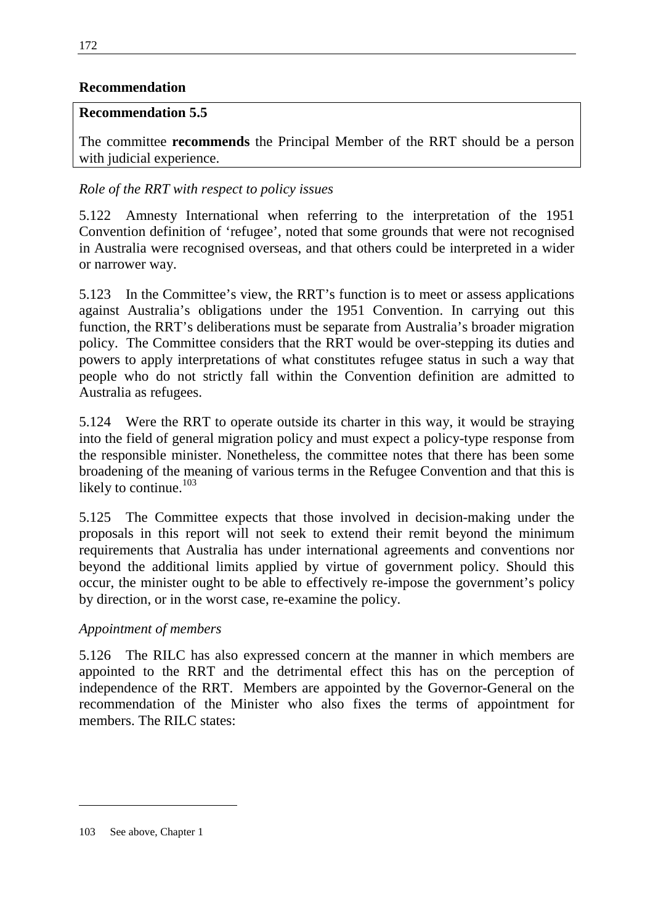## **Recommendation**

#### **Recommendation 5.5**

The committee **recommends** the Principal Member of the RRT should be a person with judicial experience.

## *Role of the RRT with respect to policy issues*

5.122 Amnesty International when referring to the interpretation of the 1951 Convention definition of 'refugee', noted that some grounds that were not recognised in Australia were recognised overseas, and that others could be interpreted in a wider or narrower way.

5.123 In the Committee's view, the RRT's function is to meet or assess applications against Australia's obligations under the 1951 Convention. In carrying out this function, the RRT's deliberations must be separate from Australia's broader migration policy. The Committee considers that the RRT would be over-stepping its duties and powers to apply interpretations of what constitutes refugee status in such a way that people who do not strictly fall within the Convention definition are admitted to Australia as refugees.

5.124 Were the RRT to operate outside its charter in this way, it would be straying into the field of general migration policy and must expect a policy-type response from the responsible minister. Nonetheless, the committee notes that there has been some broadening of the meaning of various terms in the Refugee Convention and that this is likely to continue. $103$ 

5.125 The Committee expects that those involved in decision-making under the proposals in this report will not seek to extend their remit beyond the minimum requirements that Australia has under international agreements and conventions nor beyond the additional limits applied by virtue of government policy. Should this occur, the minister ought to be able to effectively re-impose the government's policy by direction, or in the worst case, re-examine the policy.

## *Appointment of members*

5.126 The RILC has also expressed concern at the manner in which members are appointed to the RRT and the detrimental effect this has on the perception of independence of the RRT. Members are appointed by the Governor-General on the recommendation of the Minister who also fixes the terms of appointment for members. The RILC states:

<sup>103</sup> See above, Chapter 1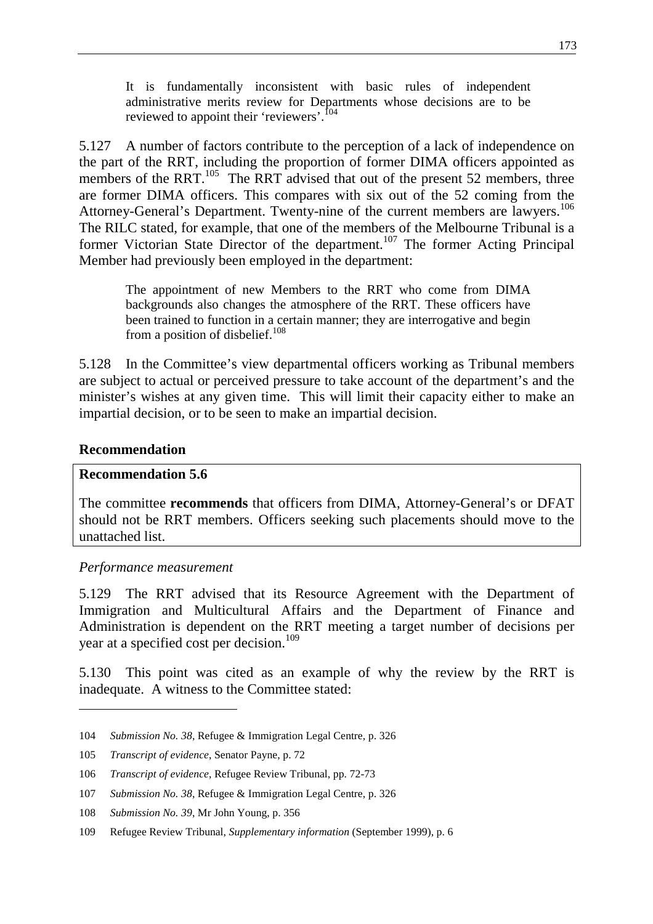It is fundamentally inconsistent with basic rules of independent administrative merits review for Departments whose decisions are to be reviewed to appoint their 'reviewers'.<sup>104</sup>

5.127 A number of factors contribute to the perception of a lack of independence on the part of the RRT, including the proportion of former DIMA officers appointed as members of the RRT.<sup>105</sup> The RRT advised that out of the present 52 members, three are former DIMA officers. This compares with six out of the 52 coming from the Attorney-General's Department. Twenty-nine of the current members are lawyers.<sup>106</sup> The RILC stated, for example, that one of the members of the Melbourne Tribunal is a former Victorian State Director of the department.<sup>107</sup> The former Acting Principal Member had previously been employed in the department:

The appointment of new Members to the RRT who come from DIMA backgrounds also changes the atmosphere of the RRT. These officers have been trained to function in a certain manner; they are interrogative and begin from a position of disbelief. $108$ 

5.128 In the Committee's view departmental officers working as Tribunal members are subject to actual or perceived pressure to take account of the department's and the minister's wishes at any given time. This will limit their capacity either to make an impartial decision, or to be seen to make an impartial decision.

#### **Recommendation**

 $\overline{a}$ 

#### **Recommendation 5.6**

The committee **recommends** that officers from DIMA, Attorney-General's or DFAT should not be RRT members. Officers seeking such placements should move to the unattached list.

#### *Performance measurement*

5.129 The RRT advised that its Resource Agreement with the Department of Immigration and Multicultural Affairs and the Department of Finance and Administration is dependent on the RRT meeting a target number of decisions per year at a specified cost per decision.<sup>109</sup>

5.130 This point was cited as an example of why the review by the RRT is inadequate. A witness to the Committee stated:

<sup>104</sup> *Submission No. 38*, Refugee & Immigration Legal Centre, p. 326

<sup>105</sup> *Transcript of evidence*, Senator Payne, p. 72

<sup>106</sup> *Transcript of evidence*, Refugee Review Tribunal, pp. 72-73

<sup>107</sup> *Submission No. 38*, Refugee & Immigration Legal Centre, p. 326

<sup>108</sup> *Submission No. 39*, Mr John Young, p. 356

<sup>109</sup> Refugee Review Tribunal, *Supplementary information* (September 1999), p. 6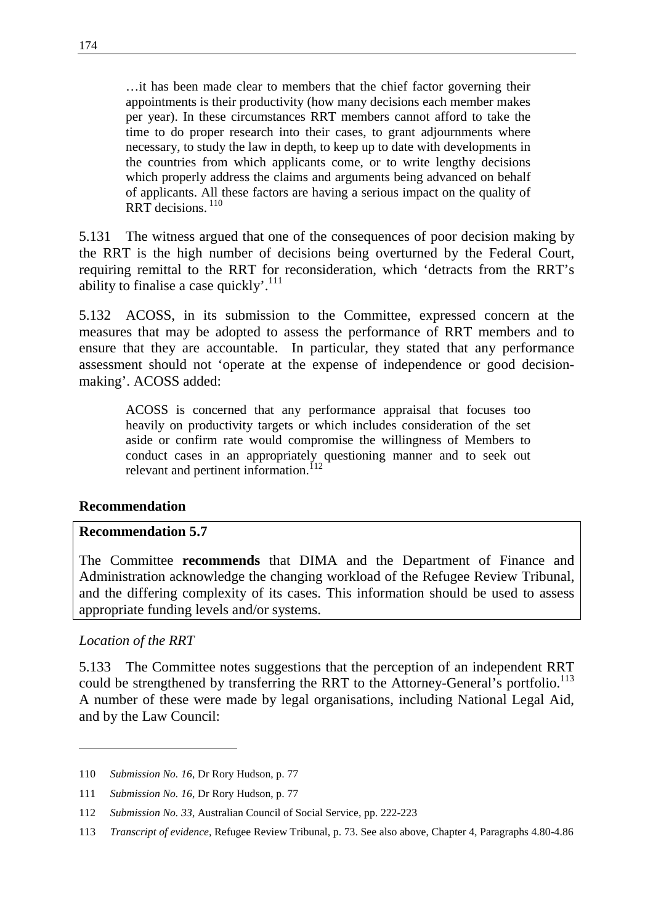…it has been made clear to members that the chief factor governing their appointments is their productivity (how many decisions each member makes per year). In these circumstances RRT members cannot afford to take the time to do proper research into their cases, to grant adjournments where necessary, to study the law in depth, to keep up to date with developments in the countries from which applicants come, or to write lengthy decisions which properly address the claims and arguments being advanced on behalf of applicants. All these factors are having a serious impact on the quality of RRT decisions.<sup>110</sup>

5.131 The witness argued that one of the consequences of poor decision making by the RRT is the high number of decisions being overturned by the Federal Court, requiring remittal to the RRT for reconsideration, which 'detracts from the RRT's ability to finalise a case quickly'.<sup>111</sup>

5.132 ACOSS, in its submission to the Committee, expressed concern at the measures that may be adopted to assess the performance of RRT members and to ensure that they are accountable. In particular, they stated that any performance assessment should not 'operate at the expense of independence or good decisionmaking'. ACOSS added:

ACOSS is concerned that any performance appraisal that focuses too heavily on productivity targets or which includes consideration of the set aside or confirm rate would compromise the willingness of Members to conduct cases in an appropriately questioning manner and to seek out relevant and pertinent information.<sup>112</sup>

#### **Recommendation**

#### **Recommendation 5.7**

The Committee **recommends** that DIMA and the Department of Finance and Administration acknowledge the changing workload of the Refugee Review Tribunal, and the differing complexity of its cases. This information should be used to assess appropriate funding levels and/or systems.

#### *Location of the RRT*

5.133 The Committee notes suggestions that the perception of an independent RRT could be strengthened by transferring the RRT to the Attorney-General's portfolio.<sup>113</sup> A number of these were made by legal organisations, including National Legal Aid, and by the Law Council:

<sup>110</sup> *Submission No. 16*, Dr Rory Hudson, p. 77

<sup>111</sup> *Submission No. 16*, Dr Rory Hudson, p. 77

<sup>112</sup> *Submission No. 33*, Australian Council of Social Service, pp. 222-223

<sup>113</sup> *Transcript of evidence*, Refugee Review Tribunal, p. 73. See also above, Chapter 4, Paragraphs 4.80-4.86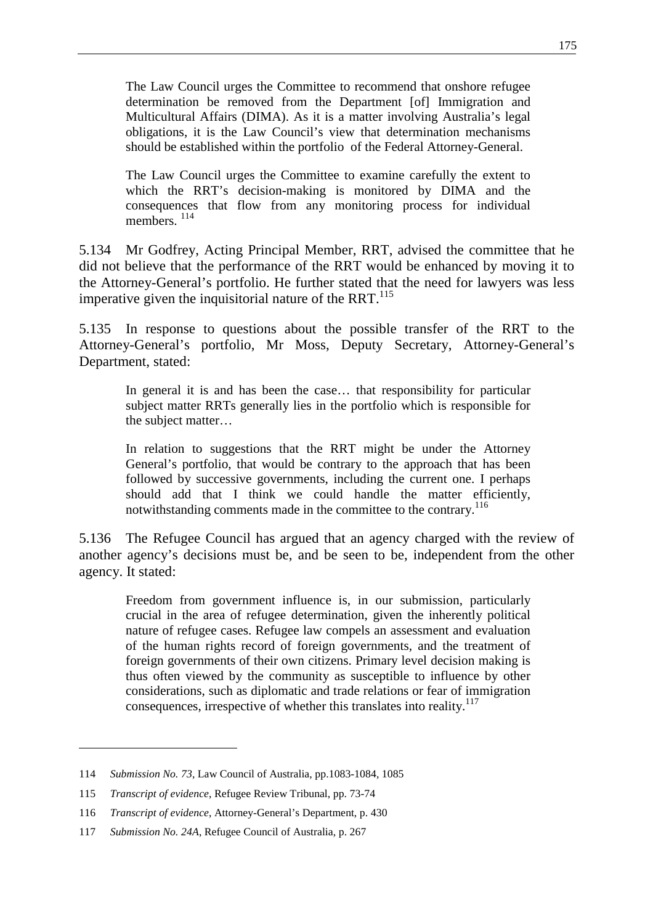The Law Council urges the Committee to recommend that onshore refugee determination be removed from the Department [of] Immigration and Multicultural Affairs (DIMA). As it is a matter involving Australia's legal obligations, it is the Law Council's view that determination mechanisms should be established within the portfolio of the Federal Attorney-General.

The Law Council urges the Committee to examine carefully the extent to which the RRT's decision-making is monitored by DIMA and the consequences that flow from any monitoring process for individual members.<sup>114</sup>

5.134 Mr Godfrey, Acting Principal Member, RRT, advised the committee that he did not believe that the performance of the RRT would be enhanced by moving it to the Attorney-General's portfolio. He further stated that the need for lawyers was less imperative given the inquisitorial nature of the RRT. $^{115}$ 

5.135 In response to questions about the possible transfer of the RRT to the Attorney-General's portfolio, Mr Moss, Deputy Secretary, Attorney-General's Department, stated:

In general it is and has been the case… that responsibility for particular subject matter RRTs generally lies in the portfolio which is responsible for the subject matter…

In relation to suggestions that the RRT might be under the Attorney General's portfolio, that would be contrary to the approach that has been followed by successive governments, including the current one. I perhaps should add that I think we could handle the matter efficiently, notwithstanding comments made in the committee to the contrary.<sup>116</sup>

5.136 The Refugee Council has argued that an agency charged with the review of another agency's decisions must be, and be seen to be, independent from the other agency. It stated:

Freedom from government influence is, in our submission, particularly crucial in the area of refugee determination, given the inherently political nature of refugee cases. Refugee law compels an assessment and evaluation of the human rights record of foreign governments, and the treatment of foreign governments of their own citizens. Primary level decision making is thus often viewed by the community as susceptible to influence by other considerations, such as diplomatic and trade relations or fear of immigration consequences, irrespective of whether this translates into reality.<sup>117</sup>

<sup>114</sup> *Submission No. 73*, Law Council of Australia, pp.1083-1084, 1085

<sup>115</sup> *Transcript of evidence*, Refugee Review Tribunal, pp. 73-74

<sup>116</sup> *Transcript of evidence*, Attorney-General's Department, p. 430

<sup>117</sup> *Submission No. 24A*, Refugee Council of Australia, p. 267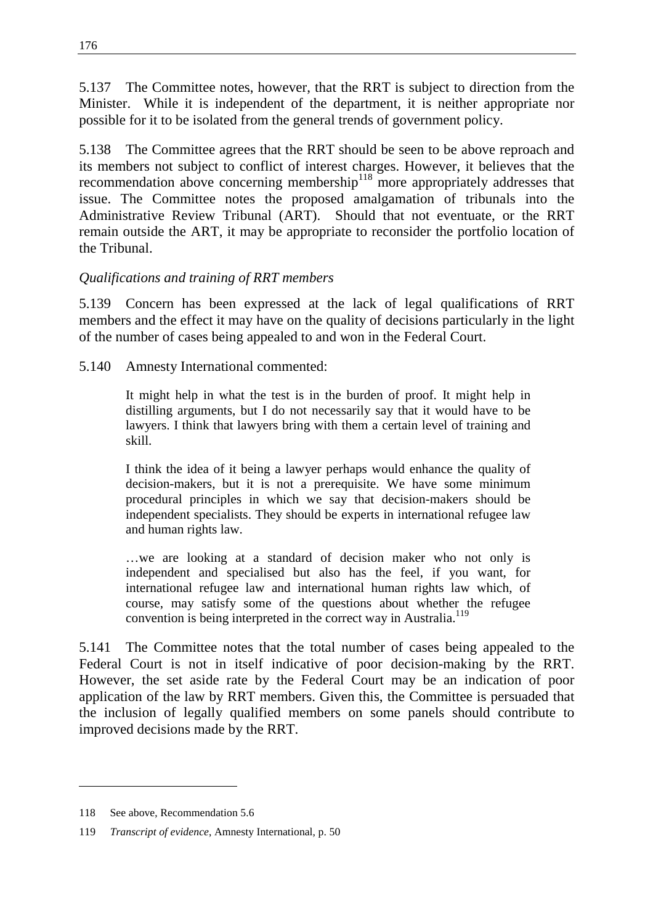5.137 The Committee notes, however, that the RRT is subject to direction from the Minister. While it is independent of the department, it is neither appropriate nor possible for it to be isolated from the general trends of government policy.

5.138 The Committee agrees that the RRT should be seen to be above reproach and its members not subject to conflict of interest charges. However, it believes that the recommendation above concerning membership<sup>118</sup> more appropriately addresses that issue. The Committee notes the proposed amalgamation of tribunals into the Administrative Review Tribunal (ART). Should that not eventuate, or the RRT remain outside the ART, it may be appropriate to reconsider the portfolio location of the Tribunal.

## *Qualifications and training of RRT members*

5.139 Concern has been expressed at the lack of legal qualifications of RRT members and the effect it may have on the quality of decisions particularly in the light of the number of cases being appealed to and won in the Federal Court.

5.140 Amnesty International commented:

It might help in what the test is in the burden of proof. It might help in distilling arguments, but I do not necessarily say that it would have to be lawyers. I think that lawyers bring with them a certain level of training and skill.

I think the idea of it being a lawyer perhaps would enhance the quality of decision-makers, but it is not a prerequisite. We have some minimum procedural principles in which we say that decision-makers should be independent specialists. They should be experts in international refugee law and human rights law.

…we are looking at a standard of decision maker who not only is independent and specialised but also has the feel, if you want, for international refugee law and international human rights law which, of course, may satisfy some of the questions about whether the refugee convention is being interpreted in the correct way in Australia.<sup>119</sup>

5.141 The Committee notes that the total number of cases being appealed to the Federal Court is not in itself indicative of poor decision-making by the RRT. However, the set aside rate by the Federal Court may be an indication of poor application of the law by RRT members. Given this, the Committee is persuaded that the inclusion of legally qualified members on some panels should contribute to improved decisions made by the RRT.

<sup>118</sup> See above, Recommendation 5.6

<sup>119</sup> *Transcript of evidence*, Amnesty International, p. 50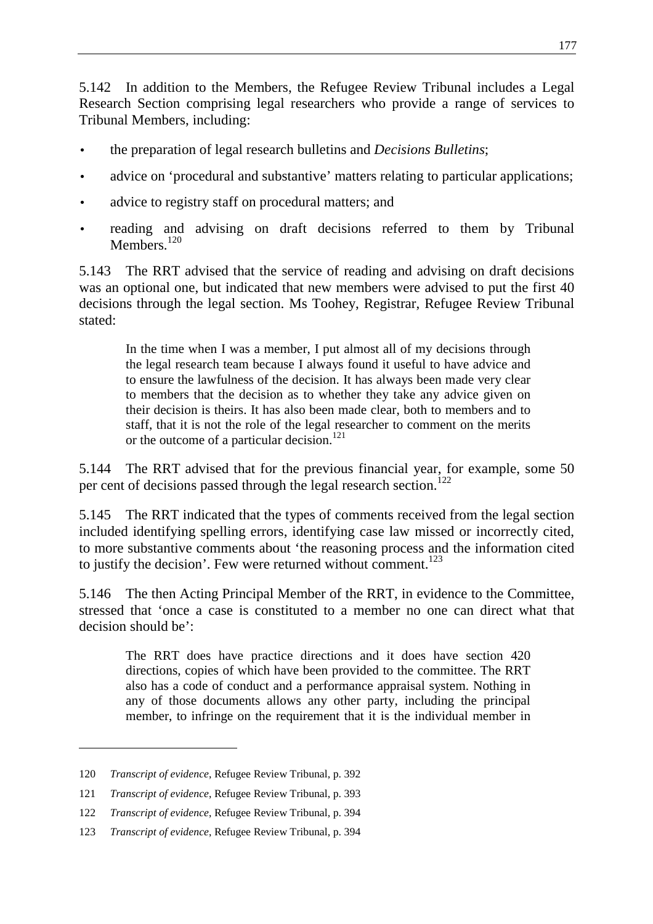5.142 In addition to the Members, the Refugee Review Tribunal includes a Legal Research Section comprising legal researchers who provide a range of services to Tribunal Members, including:

- the preparation of legal research bulletins and *Decisions Bulletins*;
- advice on 'procedural and substantive' matters relating to particular applications;
- advice to registry staff on procedural matters; and
- reading and advising on draft decisions referred to them by Tribunal Members<sup>120</sup>

5.143 The RRT advised that the service of reading and advising on draft decisions was an optional one, but indicated that new members were advised to put the first 40 decisions through the legal section. Ms Toohey, Registrar, Refugee Review Tribunal stated:

In the time when I was a member, I put almost all of my decisions through the legal research team because I always found it useful to have advice and to ensure the lawfulness of the decision. It has always been made very clear to members that the decision as to whether they take any advice given on their decision is theirs. It has also been made clear, both to members and to staff, that it is not the role of the legal researcher to comment on the merits or the outcome of a particular decision.<sup>121</sup>

5.144 The RRT advised that for the previous financial year, for example, some 50 per cent of decisions passed through the legal research section.<sup>122</sup>

5.145 The RRT indicated that the types of comments received from the legal section included identifying spelling errors, identifying case law missed or incorrectly cited, to more substantive comments about 'the reasoning process and the information cited to justify the decision'. Few were returned without comment.<sup>123</sup>

5.146 The then Acting Principal Member of the RRT, in evidence to the Committee, stressed that 'once a case is constituted to a member no one can direct what that decision should be':

The RRT does have practice directions and it does have section 420 directions, copies of which have been provided to the committee. The RRT also has a code of conduct and a performance appraisal system. Nothing in any of those documents allows any other party, including the principal member, to infringe on the requirement that it is the individual member in

<sup>120</sup> *Transcript of evidence*, Refugee Review Tribunal, p. 392

<sup>121</sup> *Transcript of evidence*, Refugee Review Tribunal, p. 393

<sup>122</sup> *Transcript of evidence*, Refugee Review Tribunal, p. 394

<sup>123</sup> *Transcript of evidence*, Refugee Review Tribunal, p. 394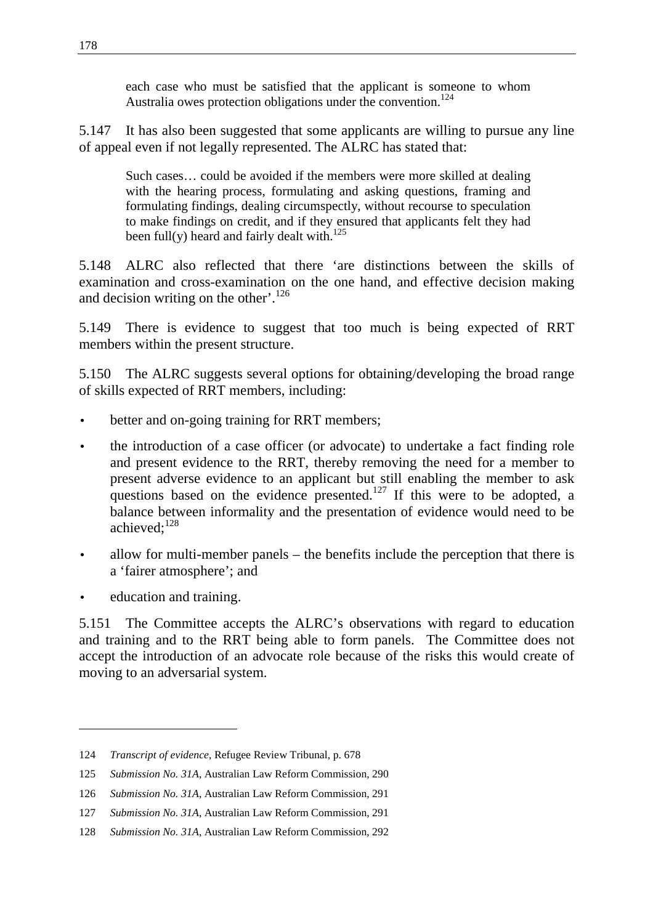each case who must be satisfied that the applicant is someone to whom Australia owes protection obligations under the convention.<sup>124</sup>

5.147 It has also been suggested that some applicants are willing to pursue any line of appeal even if not legally represented. The ALRC has stated that:

Such cases… could be avoided if the members were more skilled at dealing with the hearing process, formulating and asking questions, framing and formulating findings, dealing circumspectly, without recourse to speculation to make findings on credit, and if they ensured that applicants felt they had been full(y) heard and fairly dealt with.<sup>125</sup>

5.148 ALRC also reflected that there 'are distinctions between the skills of examination and cross-examination on the one hand, and effective decision making and decision writing on the other'.<sup>126</sup>

5.149 There is evidence to suggest that too much is being expected of RRT members within the present structure.

5.150 The ALRC suggests several options for obtaining/developing the broad range of skills expected of RRT members, including:

- better and on-going training for RRT members;
- the introduction of a case officer (or advocate) to undertake a fact finding role and present evidence to the RRT, thereby removing the need for a member to present adverse evidence to an applicant but still enabling the member to ask questions based on the evidence presented.<sup>127</sup> If this were to be adopted, a balance between informality and the presentation of evidence would need to be achieved:<sup>128</sup>
- allow for multi-member panels the benefits include the perception that there is a 'fairer atmosphere'; and
- education and training.

 $\overline{a}$ 

5.151 The Committee accepts the ALRC's observations with regard to education and training and to the RRT being able to form panels. The Committee does not accept the introduction of an advocate role because of the risks this would create of moving to an adversarial system.

<sup>124</sup> *Transcript of evidence*, Refugee Review Tribunal, p. 678

<sup>125</sup> *Submission No. 31A*, Australian Law Reform Commission, 290

<sup>126</sup> *Submission No. 31A*, Australian Law Reform Commission, 291

<sup>127</sup> *Submission No. 31A*, Australian Law Reform Commission, 291

<sup>128</sup> *Submission No. 31A*, Australian Law Reform Commission, 292